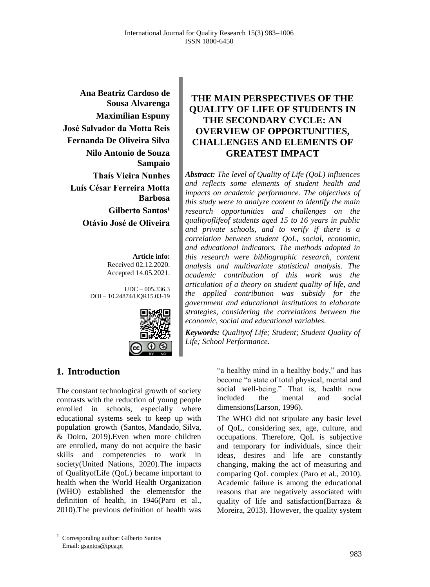**Ana Beatriz Cardoso de Sousa Alvarenga Maximilian Espuny José Salvador da Motta Reis Fernanda De Oliveira Silva Nilo Antonio de Souza Sampaio Thaís Vieira Nunhes Luís César Ferreira Motta Barbosa Gilberto Santos<sup>1</sup> Otávio José de Oliveira**

> **Article info:** Received 02.12.2020. Accepted 14.05.2021.

UDC – 005.336.3 DOI – 10.24874/IJQR15.03-19



### **THE MAIN PERSPECTIVES OF THE QUALITY OF LIFE OF STUDENTS IN THE SECONDARY CYCLE: AN OVERVIEW OF OPPORTUNITIES, CHALLENGES AND ELEMENTS OF GREATEST IMPACT**

*Abstract: The level of Quality of Life (QoL) influences and reflects some elements of student health and impacts on academic performance. The objectives of this study were to analyze content to identify the main research opportunities and challenges on the qualityoflifeof students aged 15 to 16 years in public and private schools, and to verify if there is a correlation between student QoL, social, economic, and educational indicators. The methods adopted in this research were bibliographic research, content analysis and multivariate statistical analysis. The academic contribution of this work was the articulation of a theory on student quality of life, and the applied contribution was subsidy for the government and educational institutions to elaborate strategies, considering the correlations between the economic, social and educational variables.*

*Keywords: Qualityof Life; Student; Student Quality of Life; School Performance.*

### **1. Introduction**

The constant technological growth of society contrasts with the reduction of young people enrolled in schools, especially where educational systems seek to keep up with population growth (Santos, Mandado, Silva, & Doiro, 2019).Even when more children are enrolled, many do not acquire the basic skills and competencies to work in society(United Nations, 2020).The impacts of QualityofLife (QoL) became important to health when the World Health Organization (WHO) established the elementsfor the definition of health, in 1946(Paro et al., 2010).The previous definition of health was

"a healthy mind in a healthy body," and has become "a state of total physical, mental and social well-being." That is, health now included the mental and social dimensions(Larson, 1996).

The WHO did not stipulate any basic level of QoL, considering sex, age, culture, and occupations. Therefore, QoL is subjective and temporary for individuals, since their ideas, desires and life are constantly changing, making the act of measuring and comparing QoL complex (Paro et al., 2010). Academic failure is among the educational reasons that are negatively associated with quality of life and satisfaction(Barraza & Moreira, 2013). However, the quality system

<sup>1</sup> Corresponding author: Gilberto Santos Email: gsantos@ipca.pt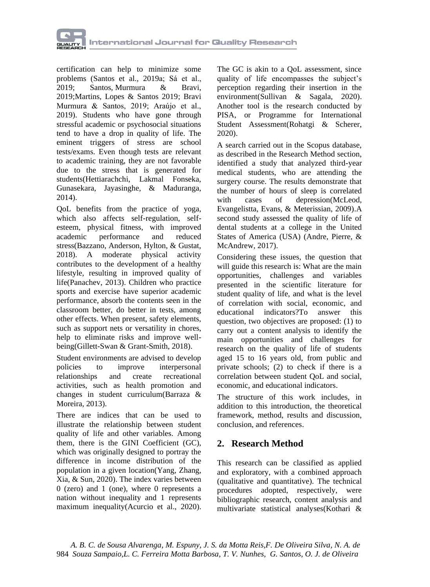

certification can help to minimize some problems (Santos et al., 2019a; Sá et al., 2019; Santos, Murmura & Bravi, 2019;Martins, Lopes & Santos 2019; Bravi Murmura & Santos, 2019; Araújo et al., 2019). Students who have gone through stressful academic or psychosocial situations tend to have a drop in quality of life. The eminent triggers of stress are school tests/exams. Even though tests are relevant to academic training, they are not favorable due to the stress that is generated for students(Hettiarachchi, Lakmal Fonseka, Gunasekara, Jayasinghe, & Maduranga, 2014).

QoL benefits from the practice of yoga, which also affects self-regulation, selfesteem, physical fitness, with improved academic performance and reduced stress(Bazzano, Anderson, Hylton, & Gustat, 2018). A moderate physical activity contributes to the development of a healthy lifestyle, resulting in improved quality of life(Panachev, 2013). Children who practice sports and exercise have superior academic performance, absorb the contents seen in the classroom better, do better in tests, among other effects. When present, safety elements, such as support nets or versatility in chores, help to eliminate risks and improve wellbeing(Gillett-Swan & Grant-Smith, 2018).

Student environments are advised to develop policies to improve interpersonal relationships and create recreational activities, such as health promotion and changes in student curriculum(Barraza & Moreira, 2013).

There are indices that can be used to illustrate the relationship between student quality of life and other variables. Among them, there is the GINI Coefficient (GC), which was originally designed to portray the difference in income distribution of the population in a given location(Yang, Zhang, Xia, & Sun, 2020). The index varies between 0 (zero) and 1 (one), where 0 represents a nation without inequality and 1 represents maximum inequality(Acurcio et al., 2020).

The GC is akin to a QoL assessment, since quality of life encompasses the subject's perception regarding their insertion in the environment(Sullivan & Sagala, 2020). Another tool is the research conducted by PISA, or Programme for International Student Assessment(Rohatgi & Scherer, 2020).

A search carried out in the Scopus database, as described in the Research Method section, identified a study that analyzed third-year medical students, who are attending the surgery course. The results demonstrate that the number of hours of sleep is correlated with cases of depression(McLeod, Evangelistta, Evans, & Meterissian, 2009).A second study assessed the quality of life of dental students at a college in the United States of America (USA) (Andre, Pierre, & McAndrew, 2017).

Considering these issues, the question that will guide this research is: What are the main opportunities, challenges and variables presented in the scientific literature for student quality of life, and what is the level of correlation with social, economic, and educational indicators?To answer this question, two objectives are proposed: (1) to carry out a content analysis to identify the main opportunities and challenges for research on the quality of life of students aged 15 to 16 years old, from public and private schools; (2) to check if there is a correlation between student QoL and social, economic, and educational indicators.

The structure of this work includes, in addition to this introduction, the theoretical framework, method, results and discussion, conclusion, and references.

### **2. Research Method**

This research can be classified as applied and exploratory, with a combined approach (qualitative and quantitative). The technical procedures adopted, respectively, were bibliographic research, content analysis and multivariate statistical analyses(Kothari &

 *A. B. C. de Sousa Alvarenga, M. Espuny, J. S. da Motta Reis,F. De Oliveira Silva, N. A. de*  984 *Souza Sampaio,L. C. Ferreira Motta Barbosa, T. V. Nunhes, G. Santos, O. J. de Oliveira*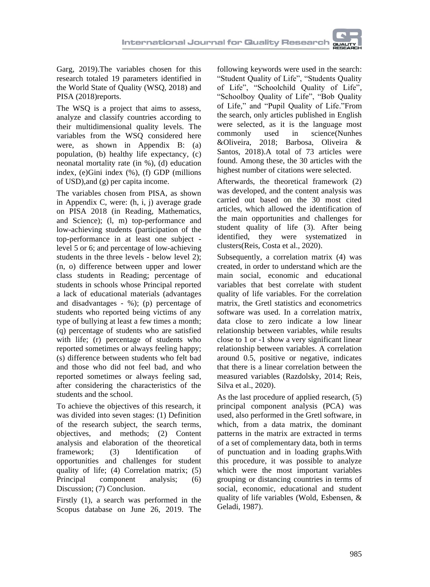Garg, 2019).The variables chosen for this research totaled 19 parameters identified in the World State of Quality (WSQ, 2018) and PISA (2018)reports.

The WSQ is a project that aims to assess, analyze and classify countries according to their multidimensional quality levels. The variables from the WSQ considered here were, as shown in Appendix B: (a) population, (b) healthy life expectancy, (c) neonatal mortality rate (in %), (d) education index, (e)Gini index (%), (f) GDP (millions of USD),and (g) per capita income.

The variables chosen from PISA, as shown in Appendix C, were: (h, i, j) average grade on PISA 2018 (in Reading, Mathematics, and Science); (l, m) top-performance and low-achieving students (participation of the top-performance in at least one subject level 5 or 6; and percentage of low-achieving students in the three levels - below level 2); (n, o) difference between upper and lower class students in Reading; percentage of students in schools whose Principal reported a lack of educational materials (advantages and disadvantages - %); (p) percentage of students who reported being victims of any type of bullying at least a few times a month; (q) percentage of students who are satisfied with life; (r) percentage of students who reported sometimes or always feeling happy; (s) difference between students who felt bad and those who did not feel bad, and who reported sometimes or always feeling sad, after considering the characteristics of the students and the school.

To achieve the objectives of this research, it was divided into seven stages: (1) Definition of the research subject, the search terms, objectives, and methods; (2) Content analysis and elaboration of the theoretical framework; (3) Identification of opportunities and challenges for student quality of life; (4) Correlation matrix; (5) Principal component analysis; (6) Discussion; (7) Conclusion.

Firstly (1), a search was performed in the Scopus database on June 26, 2019. The

following keywords were used in the search: "Student Quality of Life", "Students Quality of Life", "Schoolchild Quality of Life", "Schoolboy Quality of Life", "Bob Quality of Life," and "Pupil Quality of Life."From the search, only articles published in English were selected, as it is the language most commonly used in science(Nunhes &Oliveira, 2018; Barbosa, Oliveira & Santos, 2018).A total of 73 articles were found. Among these, the 30 articles with the highest number of citations were selected.

Afterwards, the theoretical framework (2) was developed, and the content analysis was carried out based on the 30 most cited articles, which allowed the identification of the main opportunities and challenges for student quality of life (3). After being identified, they were systematized in clusters(Reis, Costa et al., 2020).

Subsequently, a correlation matrix (4) was created, in order to understand which are the main social, economic and educational variables that best correlate with student quality of life variables. For the correlation matrix, the Gretl statistics and econometrics software was used. In a correlation matrix, data close to zero indicate a low linear relationship between variables, while results close to 1 or -1 show a very significant linear relationship between variables. A correlation around 0.5, positive or negative, indicates that there is a linear correlation between the measured variables (Razdolsky, 2014; Reis, Silva et al., 2020).

As the last procedure of applied research, (5) principal component analysis (PCA) was used, also performed in the Gretl software, in which, from a data matrix, the dominant patterns in the matrix are extracted in terms of a set of complementary data, both in terms of punctuation and in loading graphs.With this procedure, it was possible to analyze which were the most important variables grouping or distancing countries in terms of social, economic, educational and student quality of life variables (Wold, Esbensen, & Geladi, 1987).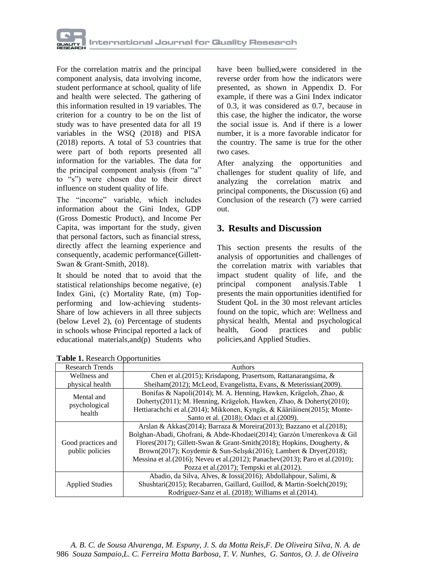

For the correlation matrix and the principal component analysis, data involving income, student performance at school, quality of life and health were selected. The gathering of this information resulted in 19 variables. The criterion for a country to be on the list of study was to have presented data for all 19 variables in the WSQ (2018) and PISA (2018) reports. A total of 53 countries that were part of both reports presented all information for the variables. The data for the principal component analysis (from "a" to "s") were chosen due to their direct influence on student quality of life.

The "income" variable, which includes information about the Gini Index, GDP (Gross Domestic Product), and Income Per Capita, was important for the study, given that personal factors, such as financial stress, directly affect the learning experience and consequently, academic performance(Gillett-Swan & Grant-Smith, 2018).

It should be noted that to avoid that the statistical relationships become negative, (e) Index Gini, (c) Mortality Rate, (m) Topperforming and low-achieving students-Share of low achievers in all three subjects (below Level 2), (o) Percentage of students in schools whose Principal reported a lack of educational materials,and(p) Students who have been bullied were considered in the reverse order from how the indicators were presented, as shown in Appendix D. For example, if there was a Gini Index indicator of 0.3, it was considered as 0.7, because in this case, the higher the indicator, the worse the social issue is. And if there is a lower number, it is a more favorable indicator for the country. The same is true for the other two cases.

After analyzing the opportunities and challenges for student quality of life, and analyzing the correlation matrix and principal components, the Discussion (6) and Conclusion of the research (7) were carried out.

### **3. Results and Discussion**

This section presents the results of the analysis of opportunities and challenges of the correlation matrix with variables that impact student quality of life, and the principal component analysis.Table 1 presents the main opportunities identified for Student QoL in the 30 most relevant articles found on the topic, which are: Wellness and physical health, Mental and psychological health, Good practices and public policies,and Applied Studies.

| <b>Research Trends</b>                | Authors                                                                                                                                                                                                                                                                                                                                                                                                                               |  |  |  |  |  |
|---------------------------------------|---------------------------------------------------------------------------------------------------------------------------------------------------------------------------------------------------------------------------------------------------------------------------------------------------------------------------------------------------------------------------------------------------------------------------------------|--|--|--|--|--|
| Wellness and                          | Chen et al. (2015); Krisdapong, Prasertsom, Rattanarangsima, &                                                                                                                                                                                                                                                                                                                                                                        |  |  |  |  |  |
| physical health                       | Sheiham(2012); McLeod, Evangelistta, Evans, & Meterissian(2009).                                                                                                                                                                                                                                                                                                                                                                      |  |  |  |  |  |
| Mental and<br>psychological<br>health | Bonifas & Napoli(2014); M. A. Henning, Hawken, Krägeloh, Zhao, &<br>Doherty(2011); M. Henning, Krägeloh, Hawken, Zhao, & Doherty(2010);<br>Hettiarachchi et al. (2014); Mikkonen, Kyngäs, & Kääriäinen (2015); Monte-                                                                                                                                                                                                                 |  |  |  |  |  |
|                                       | Santo et al. (2018); Odaci et al. (2009).                                                                                                                                                                                                                                                                                                                                                                                             |  |  |  |  |  |
| Good practices and<br>public policies | Arslan & Akkas(2014); Barraza & Moreira(2013); Bazzano et al.(2018);<br>Bolghan-Abadi, Ghofrani, & Abde-Khodaei(2014); Garzón Umerenkova & Gil<br>Flores(2017); Gillett-Swan & Grant-Smith(2018); Hopkins, Dougherty, &<br>Brown(2017); Koydemir & Sun-Selisik(2016); Lambert & Dryer(2018);<br>Messina et al. (2016); Neveu et al. (2012); Panachev (2013); Paro et al. (2010);<br>Pozza et al. $(2017)$ ; Tempski et al. $(2012)$ . |  |  |  |  |  |
| <b>Applied Studies</b>                | Abadio, da Silva, Alves, & Iossi(2016); Abdollahpour, Salimi, &<br>Shushtari(2015); Recabarren, Gaillard, Guillod, & Martin-Soelch(2019);<br>Rodríguez-Sanz et al. (2018); Williams et al. (2014).                                                                                                                                                                                                                                    |  |  |  |  |  |

**Table 1.** Research Opportunities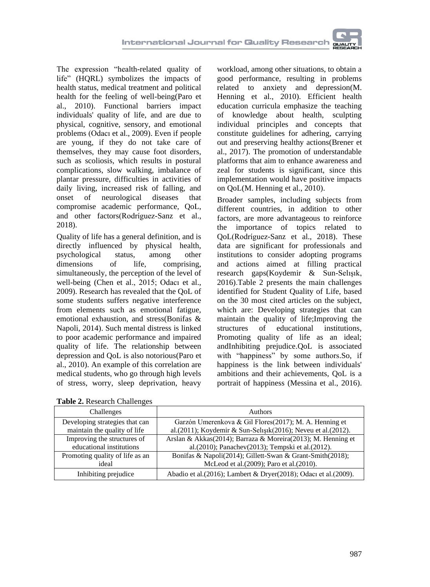The expression "health-related quality of life" (HQRL) symbolizes the impacts of health status, medical treatment and political health for the feeling of well-being(Paro et al., 2010). Functional barriers impact individuals' quality of life, and are due to physical, cognitive, sensory, and emotional problems (Odacı et al., 2009). Even if people are young, if they do not take care of themselves, they may cause foot disorders, such as scoliosis, which results in postural complications, slow walking, imbalance of plantar pressure, difficulties in activities of daily living, increased risk of falling, and onset of neurological diseases that compromise academic performance, QoL, and other factors(Rodríguez-Sanz et al., 2018).

Quality of life has a general definition, and is directly influenced by physical health, psychological status, among other<br>dimensions of life, comprising. of life, comprising, simultaneously, the perception of the level of well-being (Chen et al., 2015; Odacı et al., 2009). Research has revealed that the QoL of some students suffers negative interference from elements such as emotional fatigue, emotional exhaustion, and stress(Bonifas & Napoli, 2014). Such mental distress is linked to poor academic performance and impaired quality of life. The relationship between depression and QoL is also notorious(Paro et al., 2010). An example of this correlation are medical students, who go through high levels of stress, worry, sleep deprivation, heavy

workload, among other situations, to obtain a good performance, resulting in problems related to anxiety and depression(M. Henning et al., 2010). Efficient health education curricula emphasize the teaching of knowledge about health, sculpting individual principles and concepts that constitute guidelines for adhering, carrying out and preserving healthy actions(Brener et al., 2017). The promotion of understandable platforms that aim to enhance awareness and zeal for students is significant, since this implementation would have positive impacts on QoL(M. Henning et al., 2010).

Broader samples, including subjects from different countries, in addition to other factors, are more advantageous to reinforce the importance of topics related to QoL(Rodríguez-Sanz et al., 2018). These data are significant for professionals and institutions to consider adopting programs and actions aimed at filling practical research gaps(Koydemir & Sun-Selışık, 2016).Table 2 presents the main challenges identified for Student Quality of Life, based on the 30 most cited articles on the subject, which are: Developing strategies that can maintain the quality of life;Improving the structures of educational institutions, Promoting quality of life as an ideal; andInhibiting prejudice.QoL is associated with "happiness" by some authors.So, if happiness is the link between individuals' ambitions and their achievements, QoL is a portrait of happiness (Messina et al., 2016).

| <b>Tuble 20 Incocurent Changed</b> |                                                                          |
|------------------------------------|--------------------------------------------------------------------------|
| Challenges                         | <b>Authors</b>                                                           |
| Developing strategies that can     | Garzón Umerenkova & Gil Flores (2017); M. A. Henning et                  |
| maintain the quality of life       | al. $(2011)$ ; Koydemir & Sun-Selişik $(2016)$ ; Neveu et al. $(2012)$ . |
| Improving the structures of        | Arslan & Akkas(2014); Barraza & Moreira(2013); M. Henning et             |
| educational institutions           | al.(2010); Panachev(2013); Tempski et al.(2012).                         |
| Promoting quality of life as an    | Bonifas & Napoli(2014); Gillett-Swan & Grant-Smith(2018);                |
| ideal                              | McLeod et al. (2009); Paro et al. (2010).                                |
| Inhibiting prejudice               | Abadio et al. (2016); Lambert & Dryer (2018); Odacı et al. (2009).       |

**Table 2.** Research Challenges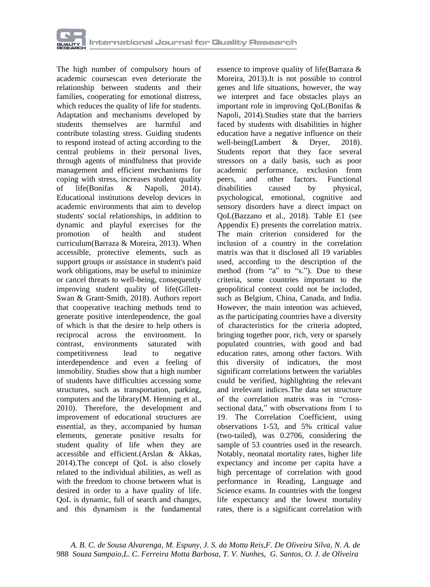

The high number of compulsory hours of academic coursescan even deteriorate the relationship between students and their families, cooperating for emotional distress, which reduces the quality of life for students. Adaptation and mechanisms developed by students themselves are harmful and contribute tolasting stress. Guiding students to respond instead of acting according to the central problems in their personal lives, through agents of mindfulness that provide management and efficient mechanisms for coping with stress, increases student quality of life(Bonifas & Napoli, 2014). Educational institutions develop devices in academic environments that aim to develop students' social relationships, in addition to dynamic and playful exercises for the promotion of health and student curriculum(Barraza & Moreira, 2013). When accessible, protective elements, such as support groups or assistance in student's paid work obligations, may be useful to minimize or cancel threats to well-being, consequently improving student quality of life(Gillett-Swan & Grant-Smith, 2018). Authors report that cooperative teaching methods tend to generate positive interdependence, the goal of which is that the desire to help others is reciprocal across the environment. In contrast environments saturated with contrast, environments saturated competitiveness lead to negative interdependence and even a feeling of immobility. Studies show that a high number of students have difficulties accessing some structures, such as transportation, parking, computers and the library(M. Henning et al., 2010). Therefore, the development and improvement of educational structures are essential, as they, accompanied by human elements, generate positive results for student quality of life when they are accessible and efficient.(Arslan & Akkas, 2014).The concept of QoL is also closely related to the individual abilities, as well as with the freedom to choose between what is desired in order to a have quality of life. QoL is dynamic, full of search and changes, and this dynamism is the fundamental

essence to improve quality of life(Barraza & Moreira, 2013).It is not possible to control genes and life situations, however, the way we interpret and face obstacles plays an important role in improving QoL(Bonifas & Napoli, 2014).Studies state that the barriers faced by students with disabilities in higher education have a negative influence on their well-being(Lambert & Dryer, 2018). Students report that they face several stressors on a daily basis, such as poor academic performance, exclusion from peers, and other factors. Functional disabilities caused by physical, psychological, emotional, cognitive and sensory disorders have a direct impact on QoL(Bazzano et al., 2018). Table E1 (see Appendix E) presents the correlation matrix. The main criterion considered for the inclusion of a country in the correlation matrix was that it disclosed all 19 variables used, according to the description of the method (from "a" to "s."). Due to these criteria, some countries important to the geopolitical context could not be included, such as Belgium, China, Canada, and India. However, the main intention was achieved, as the participating countries have a diversity of characteristics for the criteria adopted, bringing together poor, rich, very or sparsely populated countries, with good and bad education rates, among other factors. With this diversity of indicators, the most significant correlations between the variables could be verified, highlighting the relevant and irrelevant indices.The data set structure of the correlation matrix was in "crosssectional data," with observations from 1 to 19. The Correlation Coefficient, using observations 1-53, and 5% critical value (two-tailed), was 0.2706, considering the sample of 53 countries used in the research. Notably, neonatal mortality rates, higher life expectancy and income per capita have a high percentage of correlation with good performance in Reading, Language and Science exams. In countries with the longest life expectancy and the lowest mortality rates, there is a significant correlation with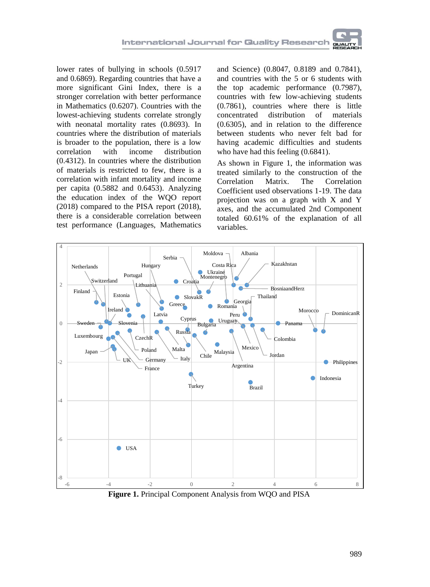lower rates of bullying in schools (0.5917 and 0.6869). Regarding countries that have a more significant Gini Index, there is a stronger correlation with better performance in Mathematics (0.6207). Countries with the lowest-achieving students correlate strongly with neonatal mortality rates (0.8693). In countries where the distribution of materials is broader to the population, there is a low correlation with income distribution (0.4312). In countries where the distribution of materials is restricted to few, there is a correlation with infant mortality and income per capita (0.5882 and 0.6453). Analyzing the education index of the WQO report (2018) compared to the PISA report (2018), there is a considerable correlation between test performance (Languages, Mathematics

and Science) (0.8047, 0.8189 and 0.7841), and countries with the 5 or 6 students with the top academic performance (0.7987), countries with few low-achieving students (0.7861), countries where there is little concentrated distribution of (0.6305), and in relation to the difference between students who never felt bad for having academic difficulties and students who have had this feeling  $(0.6841)$ .

As shown in Figure 1, the information was treated similarly to the construction of the<br>Correlation Matrix. The Correlation Correlation Matrix. The Correlation Coefficient used observations 1-19. The data projection was on a graph with X and Y axes, and the accumulated 2nd Component totaled 60.61% of the explanation of all variables.



**Figure 1.** Principal Component Analysis from WQO and PISA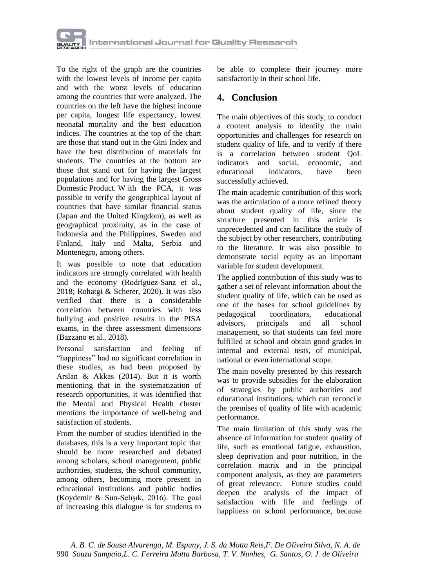

To the right of the graph are the countries with the lowest levels of income per capita and with the worst levels of education among the countries that were analyzed. The countries on the left have the highest income per capita, longest life expectancy, lowest neonatal mortality and the best education indices. The countries at the top of the chart are those that stand out in the Gini Index and have the best distribution of materials for students. The countries at the bottom are those that stand out for having the largest populations and for having the largest Gross Domestic Product. W ith the PCA, it was possible to verify the geographical layout of countries that have similar financial status (Japan and the United Kingdom), as well as geographical proximity, as in the case of Indonesia and the Philippines, Sweden and Finland, Italy and Malta, Serbia and Montenegro, among others.

It was possible to note that education indicators are strongly correlated with health and the economy (Rodríguez-Sanz et al., 2018; Rohatgi & Scherer, 2020). It was also verified that there is a considerable correlation between countries with less bullying and positive results in the PISA exams, in the three assessment dimensions (Bazzano et al., 2018).

Personal satisfaction and feeling of "happiness" had no significant correlation in these studies, as had been proposed by Arslan & Akkas (2014). But it is worth mentioning that in the systematization of research opportunities, it was identified that the Mental and Physical Health cluster mentions the importance of well-being and satisfaction of students.

From the number of studies identified in the databases, this is a very important topic that should be more researched and debated among scholars, school management, public authorities, students, the school community, among others, becoming more present in educational institutions and public bodies (Koydemir & Sun-Selışık, 2016). The goal of increasing this dialogue is for students to be able to complete their journey more satisfactorily in their school life.

#### **4. Conclusion**

The main objectives of this study, to conduct a content analysis to identify the main opportunities and challenges for research on student quality of life, and to verify if there is a correlation between student QoL indicators and social, economic, and educational indicators, have been successfully achieved.

The main academic contribution of this work was the articulation of a more refined theory about student quality of life, since the structure presented in this article is unprecedented and can facilitate the study of the subject by other researchers, contributing to the literature. It was also possible to demonstrate social equity as an important variable for student development.

The applied contribution of this study was to gather a set of relevant information about the student quality of life, which can be used as one of the bases for school guidelines by pedagogical coordinators, educational advisors, principals and all school management, so that students can feel more fulfilled at school and obtain good grades in internal and external tests, of municipal, national or even international scope.

The main novelty presented by this research was to provide subsidies for the elaboration of strategies by public authorities and educational institutions, which can reconcile the premises of quality of life with academic performance.

The main limitation of this study was the absence of information for student quality of life, such as emotional fatigue, exhaustion, sleep deprivation and poor nutrition, in the correlation matrix and in the principal component analysis, as they are parameters of great relevance. Future studies could deepen the analysis of the impact of satisfaction with life and feelings of happiness on school performance, because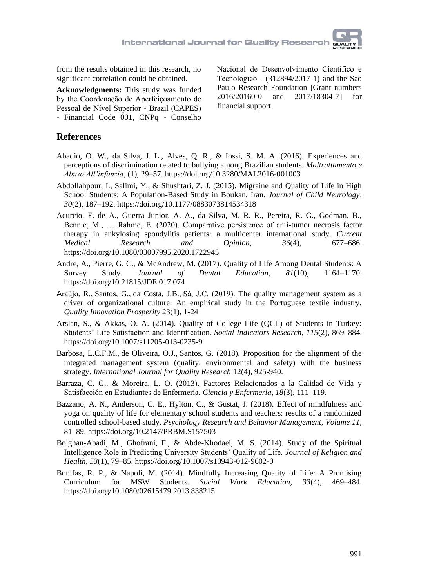from the results obtained in this research, no significant correlation could be obtained.

**Acknowledgments:** This study was funded by the Coordenação de Aperfeiçoamento de Pessoal de Nível Superior - Brazil (CAPES) - Financial Code 001, CNPq - Conselho Nacional de Desenvolvimento Científico e Tecnológico - (312894/2017-1) and the Sao Paulo Research Foundation [Grant numbers 2016/20160-0 and 2017/18304-7] for financial support.

#### **References**

- Abadio, O. W., da Silva, J. L., Alves, Q. R., & Iossi, S. M. A. (2016). Experiences and perceptions of discrimination related to bullying among Brazilian students. *Maltrattamento e Abuso All'infanzia*, (1), 29–57. https://doi.org/10.3280/MAL2016-001003
- Abdollahpour, I., Salimi, Y., & Shushtari, Z. J. (2015). Migraine and Quality of Life in High School Students: A Population-Based Study in Boukan, Iran. *Journal of Child Neurology*, *30*(2), 187–192. https://doi.org/10.1177/0883073814534318
- Acurcio, F. de A., Guerra Junior, A. A., da Silva, M. R. R., Pereira, R. G., Godman, B., Bennie, M., … Rahme, E. (2020). Comparative persistence of anti-tumor necrosis factor therapy in ankylosing spondylitis patients: a multicenter international study. *Current Medical Research and Opinion*, *36*(4), 677–686. https://doi.org/10.1080/03007995.2020.1722945
- Andre, A., Pierre, G. C., & McAndrew, M. (2017). Quality of Life Among Dental Students: A Survey Study. *Journal of Dental Education*, *81*(10), 1164–1170. https://doi.org/10.21815/JDE.017.074
- Araújo, R., Santos, G., da Costa, J.B., Sá, J.C. (2019). The quality management system as a driver of organizational culture: An empirical study in the Portuguese textile industry. *Quality Innovation Prosperity* 23(1), 1-24
- Arslan, S., & Akkas, O. A. (2014). Quality of College Life (QCL) of Students in Turkey: Students' Life Satisfaction and Identification. *Social Indicators Research*, *115*(2), 869–884. https://doi.org/10.1007/s11205-013-0235-9
- Barbosa, L.C.F.M., de Oliveira, O.J., Santos, G. (2018). Proposition for the alignment of the integrated management system (quality, environmental and safety) with the business strategy. *International Journal for Quality Research* 12(4), 925-940.
- Barraza, C. G., & Moreira, L. O. (2013). Factores Relacionados a la Calidad de Vida y Satisfacción en Estudiantes de Enfermería. *Ciencia y Enfermeria*, *18*(3), 111–119.
- Bazzano, A. N., Anderson, C. E., Hylton, C., & Gustat, J. (2018). Effect of mindfulness and yoga on quality of life for elementary school students and teachers: results of a randomized controlled school-based study. *Psychology Research and Behavior Management*, *Volume 11*, 81–89. https://doi.org/10.2147/PRBM.S157503
- Bolghan-Abadi, M., Ghofrani, F., & Abde-Khodaei, M. S. (2014). Study of the Spiritual Intelligence Role in Predicting University Students' Quality of Life. *Journal of Religion and Health*, *53*(1), 79–85. https://doi.org/10.1007/s10943-012-9602-0
- Bonifas, R. P., & Napoli, M. (2014). Mindfully Increasing Quality of Life: A Promising Curriculum for MSW Students. *Social Work Education*, *33*(4), 469–484. https://doi.org/10.1080/02615479.2013.838215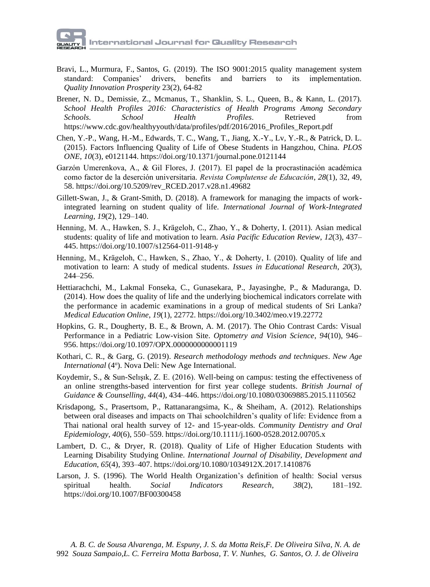- Bravi, L., Murmura, F., Santos, G. (2019). The ISO 9001:2015 quality management system standard: Companies' drivers, benefits and barriers to its implementation. *Quality Innovation Prosperity* 23(2), 64-82
- Brener, N. D., Demissie, Z., Mcmanus, T., Shanklin, S. L., Queen, B., & Kann, L. (2017). *School Health Profiles 2016: Characteristics of Health Programs Among Secondary Schools*. *School Health Profiles*. Retrieved from https://www.cdc.gov/healthyyouth/data/profiles/pdf/2016/2016\_Profiles\_Report.pdf
- Chen, Y.-P., Wang, H.-M., Edwards, T. C., Wang, T., Jiang, X.-Y., Lv, Y.-R., & Patrick, D. L. (2015). Factors Influencing Quality of Life of Obese Students in Hangzhou, China. *PLOS ONE*, *10*(3), e0121144. https://doi.org/10.1371/journal.pone.0121144
- Garzón Umerenkova, A., & Gil Flores, J. (2017). El papel de la procrastinación académica como factor de la deserción universitaria. *Revista Complutense de Educación*, *28*(1), 32, 49, 58. https://doi.org/10.5209/rev\_RCED.2017.v28.n1.49682
- Gillett-Swan, J., & Grant-Smith, D. (2018). A framework for managing the impacts of workintegrated learning on student quality of life. *International Journal of Work-Integrated Learning*, *19*(2), 129–140.
- Henning, M. A., Hawken, S. J., Krägeloh, C., Zhao, Y., & Doherty, I. (2011). Asian medical students: quality of life and motivation to learn. *Asia Pacific Education Review*, *12*(3), 437– 445. https://doi.org/10.1007/s12564-011-9148-y
- Henning, M., Krägeloh, C., Hawken, S., Zhao, Y., & Doherty, I. (2010). Quality of life and motivation to learn: A study of medical students. *Issues in Educational Research*, *20*(3), 244–256.
- Hettiarachchi, M., Lakmal Fonseka, C., Gunasekara, P., Jayasinghe, P., & Maduranga, D. (2014). How does the quality of life and the underlying biochemical indicators correlate with the performance in academic examinations in a group of medical students of Sri Lanka? *Medical Education Online*, *19*(1), 22772. https://doi.org/10.3402/meo.v19.22772
- Hopkins, G. R., Dougherty, B. E., & Brown, A. M. (2017). The Ohio Contrast Cards: Visual Performance in a Pediatric Low-vision Site. *Optometry and Vision Science*, *94*(10), 946– 956. https://doi.org/10.1097/OPX.0000000000001119
- Kothari, C. R., & Garg, G. (2019). *Research methodology methods and techniques*. *New Age*  International (4°). Nova Deli: New Age International.
- Koydemir, S., & Sun-Selışık, Z. E. (2016). Well-being on campus: testing the effectiveness of an online strengths-based intervention for first year college students. *British Journal of Guidance & Counselling*, *44*(4), 434–446. https://doi.org/10.1080/03069885.2015.1110562
- Krisdapong, S., Prasertsom, P., Rattanarangsima, K., & Sheiham, A. (2012). Relationships between oral diseases and impacts on Thai schoolchildren's quality of life: Evidence from a Thai national oral health survey of 12- and 15-year-olds. *Community Dentistry and Oral Epidemiology*, *40*(6), 550–559. https://doi.org/10.1111/j.1600-0528.2012.00705.x
- Lambert, D. C., & Dryer, R. (2018). Quality of Life of Higher Education Students with Learning Disability Studying Online. *International Journal of Disability, Development and Education*, *65*(4), 393–407. https://doi.org/10.1080/1034912X.2017.1410876
- Larson, J. S. (1996). The World Health Organization's definition of health: Social versus spiritual health. *Social Indicators Research*, *38*(2), 181–192. https://doi.org/10.1007/BF00300458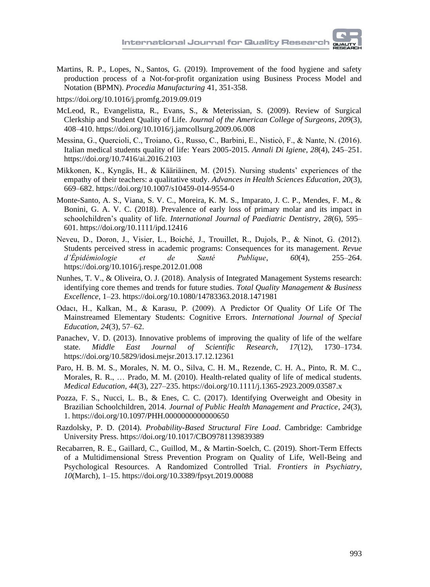Martins, R. P., Lopes, N., Santos, G. (2019). Improvement of the food hygiene and safety production process of a Not-for-profit organization using Business Process Model and Notation (BPMN). *Procedia Manufacturing* 41, 351-358.

<https://doi.org/10.1016/j.promfg.2019.09.019>

- McLeod, R., Evangelistta, R., Evans, S., & Meterissian, S. (2009). Review of Surgical Clerkship and Student Quality of Life. *Journal of the American College of Surgeons*, *209*(3), 408–410. https://doi.org/10.1016/j.jamcollsurg.2009.06.008
- Messina, G., Quercioli, C., Troiano, G., Russo, C., Barbini, E., Nisticò, F., & Nante, N. (2016). Italian medical students quality of life: Years 2005-2015. *Annali Di Igiene*, *28*(4), 245–251. https://doi.org/10.7416/ai.2016.2103
- Mikkonen, K., Kyngäs, H., & Kääriäinen, M. (2015). Nursing students' experiences of the empathy of their teachers: a qualitative study. *Advances in Health Sciences Education*, *20*(3), 669–682. https://doi.org/10.1007/s10459-014-9554-0
- Monte-Santo, A. S., Viana, S. V. C., Moreira, K. M. S., Imparato, J. C. P., Mendes, F. M., & Bonini, G. A. V. C. (2018). Prevalence of early loss of primary molar and its impact in schoolchildren's quality of life. *International Journal of Paediatric Dentistry*, *28*(6), 595– 601. https://doi.org/10.1111/ipd.12416
- Neveu, D., Doron, J., Visier, L., Boiché, J., Trouillet, R., Dujols, P., & Ninot, G. (2012). Students perceived stress in academic programs: Consequences for its management. *Revue d'Épidémiologie et de Santé Publique*, *60*(4), 255–264. https://doi.org/10.1016/j.respe.2012.01.008
- Nunhes, T. V., & Oliveira, O. J. (2018). Analysis of Integrated Management Systems research: identifying core themes and trends for future studies. *Total Quality Management & Business Excellence*, 1–23. https://doi.org/10.1080/14783363.2018.1471981
- Odacı, H., Kalkan, M., & Karasu, P. (2009). A Predictor Of Quality Of Life Of The Mainstreamed Elementary Students: Cognitive Errors. *International Journal of Special Education*, *24*(3), 57–62.
- Panachev, V. D. (2013). Innovative problems of improving the quality of life of the welfare state. *Middle East Journal of Scientific Research*, *17*(12), 1730–1734. https://doi.org/10.5829/idosi.mejsr.2013.17.12.12361
- Paro, H. B. M. S., Morales, N. M. O., Silva, C. H. M., Rezende, C. H. A., Pinto, R. M. C., Morales, R. R., … Prado, M. M. (2010). Health-related quality of life of medical students. *Medical Education*, *44*(3), 227–235. https://doi.org/10.1111/j.1365-2923.2009.03587.x
- Pozza, F. S., Nucci, L. B., & Enes, C. C. (2017). Identifying Overweight and Obesity in Brazilian Schoolchildren, 2014. *Journal of Public Health Management and Practice*, *24*(3), 1. https://doi.org/10.1097/PHH.0000000000000650
- Razdolsky, P. D. (2014). *Probability-Based Structural Fire Load*. Cambridge: Cambridge University Press. https://doi.org/10.1017/CBO9781139839389
- Recabarren, R. E., Gaillard, C., Guillod, M., & Martin-Soelch, C. (2019). Short-Term Effects of a Multidimensional Stress Prevention Program on Quality of Life, Well-Being and Psychological Resources. A Randomized Controlled Trial. *Frontiers in Psychiatry*, *10*(March), 1–15. https://doi.org/10.3389/fpsyt.2019.00088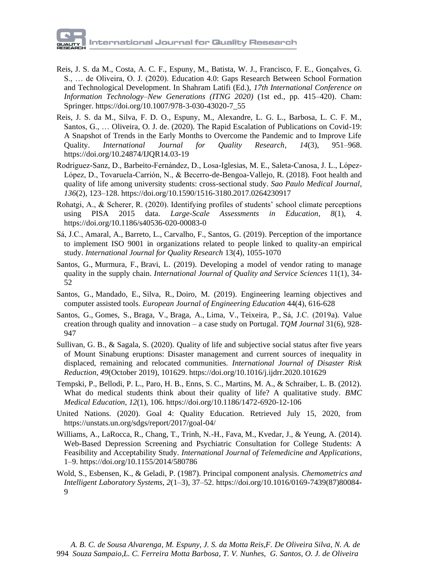- Reis, J. S. da M., Costa, A. C. F., Espuny, M., Batista, W. J., Francisco, F. E., Gonçalves, G. S., … de Oliveira, O. J. (2020). Education 4.0: Gaps Research Between School Formation and Technological Development. In Shahram Latifi (Ed.), *17th International Conference on Information Technology–New Generations (ITNG 2020)* (1st ed., pp. 415–420). Cham: Springer. https://doi.org/10.1007/978-3-030-43020-7\_55
- Reis, J. S. da M., Silva, F. D. O., Espuny, M., Alexandre, L. G. L., Barbosa, L. C. F. M., Santos, G., … Oliveira, O. J. de. (2020). The Rapid Escalation of Publications on Covid-19: A Snapshot of Trends in the Early Months to Overcome the Pandemic and to Improve Life<br>Quality. International Journal for Quality Research, 14(3), 951–968. Quality. *International Journal for Quality Research*, *14*(3), 951–968. https://doi.org/10.24874/IJQR14.03-19
- Rodríguez-Sanz, D., Barbeito-Fernández, D., Losa-Iglesias, M. E., Saleta-Canosa, J. L., López-López, D., Tovaruela-Carrión, N., & Becerro-de-Bengoa-Vallejo, R. (2018). Foot health and quality of life among university students: cross-sectional study. *Sao Paulo Medical Journal*, *136*(2), 123–128. https://doi.org/10.1590/1516-3180.2017.0264230917
- Rohatgi, A., & Scherer, R. (2020). Identifying profiles of students' school climate perceptions<br>using PISA 2015 data. *Large-Scale Assessments in Education*, 8(1), 4. using PISA 2015 data. *Large-Scale Assessments in Education*, 8(1), https://doi.org/10.1186/s40536-020-00083-0
- Sá, J.C., Amaral, A., Barreto, L., Carvalho, F., Santos, G. (2019). Perception of the importance to implement ISO 9001 in organizations related to people linked to quality-an empirical study. *International Journal for Quality Research* 13(4), 1055-1070
- Santos, G., Murmura, F., Bravi, L. (2019). Developing a model of vendor rating to manage quality in the supply chain. *International Journal of Quality and Service Sciences* 11(1), 34- 52
- Santos, G., Mandado, E., Silva, R., Doiro, M. (2019). Engineering learning objectives and computer assisted tools. *European Journal of Engineering Education* 44(4), 616-628
- Santos, G., Gomes, S., Braga, V., Braga, A., Lima, V., Teixeira, P., Sá, J.C. (2019a). Value creation through quality and innovation – a case study on Portugal. *TQM Journal* 31(6), 928- 947
- Sullivan, G. B., & Sagala, S. (2020). Quality of life and subjective social status after five years of Mount Sinabung eruptions: Disaster management and current sources of inequality in displaced, remaining and relocated communities. *International Journal of Disaster Risk Reduction*, *49*(October 2019), 101629. https://doi.org/10.1016/j.ijdrr.2020.101629
- Tempski, P., Bellodi, P. L., Paro, H. B., Enns, S. C., Martins, M. A., & Schraiber, L. B. (2012). What do medical students think about their quality of life? A qualitative study. *BMC Medical Education*, *12*(1), 106. https://doi.org/10.1186/1472-6920-12-106
- United Nations. (2020). Goal 4: Quality Education. Retrieved July 15, 2020, from https://unstats.un.org/sdgs/report/2017/goal-04/
- Williams, A., LaRocca, R., Chang, T., Trinh, N.-H., Fava, M., Kvedar, J., & Yeung, A. (2014). Web-Based Depression Screening and Psychiatric Consultation for College Students: A Feasibility and Acceptability Study. *International Journal of Telemedicine and Applications*, 1–9. https://doi.org/10.1155/2014/580786
- Wold, S., Esbensen, K., & Geladi, P. (1987). Principal component analysis. *Chemometrics and Intelligent Laboratory Systems*, *2*(1–3), 37–52. https://doi.org/10.1016/0169-7439(87)80084- 9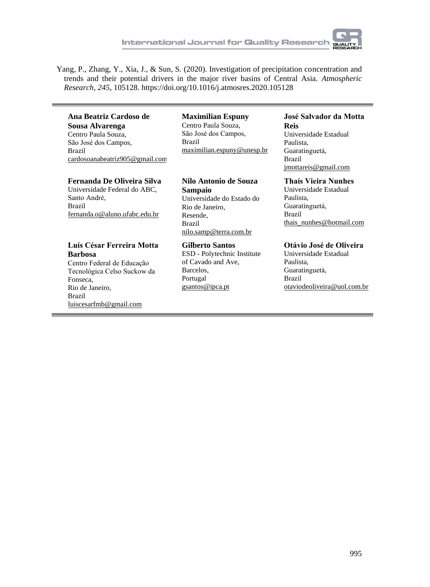

Yang, P., Zhang, Y., Xia, J., & Sun, S. (2020). Investigation of precipitation concentration and trends and their potential drivers in the major river basins of Central Asia. *Atmospheric Research*, *245*, 105128. https://doi.org/10.1016/j.atmosres.2020.105128

#### **Ana Beatriz Cardoso de Sousa Alvarenga** Centro Paula Souza, São José dos Campos,

Brazil cardosoanabeatriz905@gmail.com

#### **Fernanda De Oliveira Silva**

Universidade Federal do ABC, Santo André, Brazil fernanda.o@aluno.ufabc.edu.br

#### **Luís César Ferreira Motta Barbosa**

Centro Federal de Educação Tecnológica Celso Suckow da Fonseca, Rio de Janeiro, Brazil luiscesarfmb@gmail.com

#### **Maximilian Espuny** Centro Paula Souza, São José dos Campos, Brazil maximilian.espuny@unesp.br

**Nilo Antonio de Souza Sampaio** Universidade do Estado do Rio de Janeiro, Resende, Brazil nilo.samp@terra.com.br

#### **Gilberto Santos** ESD - Polytechnic Institute of Cavado and Ave, Barcelos, Portugal gsantos@ipca.pt

#### **José Salvador da Motta Reis**

Universidade Estadual Paulista, Guaratinguetá, Brazil jmottareis@gmail.com

#### **Thaís Vieira Nunhes**

Universidade Estadual Paulista, Guaratinguetá, Brazil thais\_nunhes@hotmail.com

#### **Otávio José de Oliveira**

Universidade Estadual Paulista, Guaratinguetá, Brazil otaviodeoliveira@uol.com.br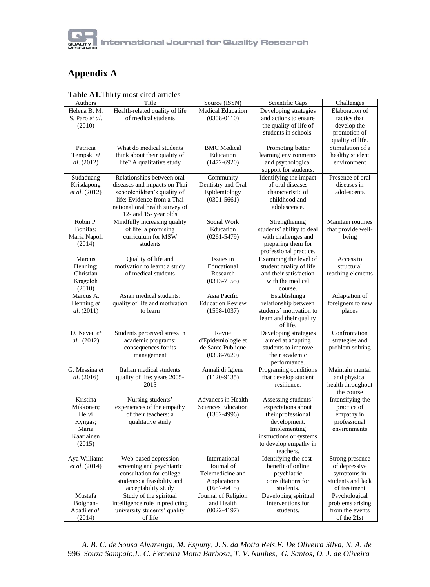

### **Appendix A**

| Authors                       | Title                                                        | Source (ISSN)               | Scientific Gaps                            | Challenges                       |
|-------------------------------|--------------------------------------------------------------|-----------------------------|--------------------------------------------|----------------------------------|
| Helena B. M.                  | Health-related quality of life                               | <b>Medical Education</b>    | Developing strategies                      | Elaboration of                   |
| S. Paro et al.                | of medical students                                          | $(0308 - 0110)$             | and actions to ensure                      | tactics that                     |
| (2010)                        |                                                              |                             | the quality of life of                     | develop the                      |
|                               |                                                              |                             | students in schools.                       | promotion of                     |
|                               |                                                              |                             |                                            | quality of life.                 |
| Patricia                      | What do medical students                                     | <b>BMC</b> Medical          | Promoting better                           | Stimulation of a                 |
| Tempski et                    | think about their quality of                                 | Education                   | learning environments                      | healthy student                  |
| al. (2012)                    | life? A qualitative study                                    | $(1472 - 6920)$             | and psychological                          | environment                      |
|                               |                                                              |                             | support for students.                      |                                  |
| Sudaduang                     | Relationships between oral                                   | Community                   | Identifying the impact                     | Presence of oral                 |
| Krisdapong                    | diseases and impacts on Thai                                 | Dentistry and Oral          | of oral diseases                           | diseases in                      |
| et al. (2012)                 | schoolchildren's quality of                                  | Epidemiology                | characteristic of                          | adolescents                      |
|                               | life: Evidence from a Thai<br>national oral health survey of | $(0301 - 5661)$             | childhood and<br>adolescence.              |                                  |
|                               | 12- and 15- year olds                                        |                             |                                            |                                  |
| Robin P.                      | Mindfully increasing quality                                 | Social Work                 | Strengthening                              | Maintain routines                |
| Bonifas;                      | of life: a promising                                         | Education                   | students' ability to deal                  | that provide well-               |
| Maria Napoli                  | curriculum for MSW                                           | $(0261 - 5479)$             | with challenges and                        | being                            |
| (2014)                        | students                                                     |                             | preparing them for                         |                                  |
|                               |                                                              |                             | professional practice.                     |                                  |
| Marcus                        | Quality of life and                                          | Issues in                   | Examining the level of                     | Access to                        |
| Henning;                      | motivation to learn: a study                                 | Educational                 | student quality of life                    | structural                       |
| Christian                     | of medical students                                          | Research                    | and their satisfaction                     | teaching elements                |
| Krägeloh                      |                                                              | $(0313 - 7155)$             | with the medical                           |                                  |
| (2010)                        |                                                              |                             | course.                                    |                                  |
| Marcus A.                     | Asian medical students:                                      | Asia Pacific                | Establishinga                              | Adaptation of                    |
| Henning et                    | quality of life and motivation                               | <b>Education Review</b>     | relationship between                       | foreigners to new                |
| al. (2011)                    | to learn                                                     | $(1598-1037)$               | students' motivation to                    | places                           |
|                               |                                                              |                             | learn and their quality                    |                                  |
| D. Neveu et                   |                                                              |                             | of life.                                   |                                  |
| <i>al.</i> (2012)             | Students perceived stress in<br>academic programs:           | Revue<br>d'Epidemiologie et | Developing strategies<br>aimed at adapting | Confrontation<br>strategies and  |
|                               | consequences for its                                         | de Sante Publique           | students to improve                        | problem solving                  |
|                               | management                                                   | $(0398 - 7620)$             | their academic                             |                                  |
|                               |                                                              |                             | performance.                               |                                  |
| G. Messina et                 | Italian medical students                                     | Annali di Igiene            | Programing conditions                      | Maintain mental                  |
| <i>al.</i> (2016)             | quality of life: years 2005-                                 | $(1120-9135)$               | that develop student                       | and physical                     |
|                               | 2015                                                         |                             | resilience.                                | health throughout                |
|                               |                                                              |                             |                                            | the course                       |
| Kristina                      | Nursing students'                                            | <b>Advances in Health</b>   | Assessing students'                        | Intensifying the                 |
| Mikkonen:                     | experiences of the empathy                                   | <b>Sciences Education</b>   | expectations about                         | practice of                      |
| Helvi                         | of their teachers: a                                         | $(1382 - 4996)$             | their professional                         | empathy in                       |
| Kyngas;                       | qualitative study                                            |                             | development.                               | professional                     |
| Maria                         |                                                              |                             | Implementing                               | environments                     |
| Kaariainen                    |                                                              |                             | instructions or systems                    |                                  |
| (2015)                        |                                                              |                             | to develop empathy in                      |                                  |
|                               |                                                              |                             | teachers.<br>Identifying the cost-         |                                  |
| Aya Williams<br>et al. (2014) | Web-based depression<br>screening and psychiatric            | International<br>Journal of | benefit of online                          | Strong presence<br>of depressive |
|                               | consultation for college                                     | Telemedicine and            | psychiatric                                | symptoms in                      |
|                               | students: a feasibility and                                  | Applications                | consultations for                          | students and lack                |
|                               | acceptability study                                          | $(1687 - 6415)$             | students.                                  | of treatment                     |
| Mustafa                       | Study of the spiritual                                       | Journal of Religion         | Developing spiritual                       | Psychological                    |
| Bolghan-                      | intelligence role in predicting                              | and Health                  | interventions for                          | problems arising                 |
| Abadi et al.                  | university students' quality                                 | $(0022 - 4197)$             | students.                                  | from the events                  |
| (2014)                        | of life                                                      |                             |                                            | of the 21st                      |

 *A. B. C. de Sousa Alvarenga, M. Espuny, J. S. da Motta Reis,F. De Oliveira Silva, N. A. de*  996 *Souza Sampaio,L. C. Ferreira Motta Barbosa, T. V. Nunhes, G. Santos, O. J. de Oliveira*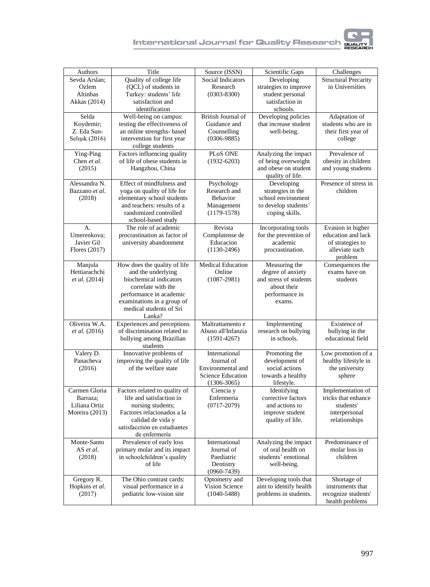

| Authors              | Title                                                    | Source (ISSN)             | Scientific Gaps                             | Challenges                  |
|----------------------|----------------------------------------------------------|---------------------------|---------------------------------------------|-----------------------------|
| Sevda Arslan:        | Quality of college life                                  | <b>Social Indicators</b>  | Developing                                  | <b>Structural Precarity</b> |
| Ozlem                | (QCL) of students in                                     | Research                  | strategies to improve                       | in Universities             |
| Altinbas             | Turkey: students' life                                   | $(0303 - 8300)$           | student personal                            |                             |
| Akkas (2014)         | satisfaction and                                         |                           | satisfaction in                             |                             |
|                      | identification                                           |                           | schools.                                    |                             |
| Selda                | Well-being on campus:                                    | <b>British Journal of</b> | Developing policies                         | Adaptation of               |
| Koydemir;            | testing the effectiveness of                             | Guidance and              | that increase student                       | students who are in         |
| Z. Eda Sun-          | an online strengths- based                               | Counselling               | well-being.                                 | their first year of         |
| Selışık (2016)       | intervention for first year                              | $(0306 - 9885)$           |                                             | college                     |
|                      | college students                                         |                           |                                             |                             |
| Ying-Ping            | Factors influencing quality                              | PLoS ONE                  | Analyzing the impact                        | Prevalence of               |
| Chen et al.          | of life of obese students in                             | $(1932 - 6203)$           | of being overweight                         | obesity in children         |
| (2015)               | Hangzhou, China                                          |                           | and obese on student                        | and young students          |
|                      |                                                          |                           | quality of life.                            |                             |
| Alessandra N.        | Effect of mindfulness and                                | Psychology                | Developing                                  | Presence of stress in       |
| Bazzano et al.       | yoga on quality of life for                              | Research and              | strategies in the                           | children                    |
| (2018)               | elementary school students                               | <b>Behavior</b>           | school environment                          |                             |
|                      | and teachers: results of a                               | Management                | to develop students'                        |                             |
|                      | randomized controlled                                    | $(1179 - 1578)$           | coping skills.                              |                             |
|                      | school-based study                                       |                           |                                             |                             |
| А.                   | The role of academic                                     | Revista                   | Incorporating tools                         | Evasion in higher           |
| Umerenkova;          | procrastination as factor of                             | Complutense de            | for the prevention of                       | education and lack          |
| Javier Gil           | university abandonment                                   | Educacion                 | academic                                    | of strategies to            |
| Flores (2017)        |                                                          | $(1130-2496)$             | procrastination.                            | alleviate such              |
|                      |                                                          | <b>Medical Education</b>  |                                             | problem                     |
| Manjula              | How does the quality of life                             |                           | Measuring the                               | Consequences the            |
| Hettiarachchi        | and the underlying<br>biochemical indicators             | Online                    | degree of anxiety<br>and stress of students | exams have on               |
| et al. (2014)        | correlate with the                                       | $(1087 - 2981)$           | about their                                 | students                    |
|                      | performance in academic                                  |                           | performance in                              |                             |
|                      | examinations in a group of                               |                           | exams.                                      |                             |
|                      | medical students of Sri                                  |                           |                                             |                             |
|                      | Lanka?                                                   |                           |                                             |                             |
| Oliveira W.A.        | Experiences and perceptions                              | Maltrattamento e          | Implementing                                | Existence of                |
| <i>et al.</i> (2016) | of discrimination related to                             | Abuso all'Infanzia        | research on bullying                        | bullying in the             |
|                      | bullying among Brazilian                                 | $(1591 - 4267)$           | in schools.                                 | educational field           |
|                      | students                                                 |                           |                                             |                             |
| Valery D.            | Innovative problems of                                   | International             | Promoting the                               | Low promotion of a          |
| Panacheva            | improving the quality of life                            | Journal of                | development of                              | healthy lifestyle in        |
| (2016)               | of the welfare state                                     | Environmental and         | social actions                              | the university              |
|                      |                                                          | <b>Science Education</b>  | towards a healthy                           | sphere                      |
|                      |                                                          | $(1306 - 3065)$           | lifestyle.                                  |                             |
| Carmen Gloria        | Factors related to quality of                            | Ciencia y                 | Identifying                                 | Implementation of           |
| Barraza:             | life and satisfaction in                                 | Enfermeria                | corrective factors                          | tricks that enhance         |
| Liliana Ortiz        | nursing students:                                        | $(0717 - 2079)$           | and actions to                              | students'                   |
| Moreira (2013)       | Factores relacionados a la                               |                           | improve student                             | interpersonal               |
|                      | calidad de vida y                                        |                           | quality of life.                            | relationships               |
|                      | satisfacctión en estudiantes                             |                           |                                             |                             |
|                      | de enfermería                                            |                           |                                             |                             |
| Monte-Santo          | Prevalence of early loss<br>primary molar and its impact | International             | Analyzing the impact<br>of oral health on   | Predominance of             |
| AS et al.            |                                                          | Journal of                | students' emotional                         | molar loss in<br>children   |
| (2018)               | in schoolchildren's quality<br>of life                   | Paediatric<br>Dentistry   | well-being.                                 |                             |
|                      |                                                          | $(0960 - 7439)$           |                                             |                             |
| Gregory R.           | The Ohio contrast cards:                                 | Optometry and             | Developing tools that                       | Shortage of                 |
| Hopkins et al.       | visual performance in a                                  | Vision Science            | aim to identify health                      | instruments that            |
| (2017)               | pediatric low-vision site                                | $(1040 - 5488)$           | problems in students.                       | recognize students'         |
|                      |                                                          |                           |                                             | health problems             |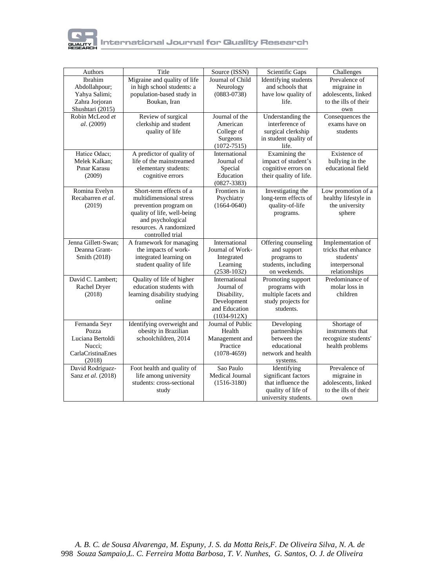

| Authors             | Title                        | Source (ISSN)                    | Scientific Gaps                     | Challenges                       |
|---------------------|------------------------------|----------------------------------|-------------------------------------|----------------------------------|
| Ibrahim             | Migraine and quality of life | Journal of Child                 | Identifying students                | Prevalence of                    |
| Abdollahpour;       | in high school students: a   | Neurology                        | and schools that                    | migraine in                      |
| Yahya Salimi;       | population-based study in    | $(0883 - 0738)$                  | have low quality of                 | adolescents, linked              |
| Zahra Jorjoran      | Boukan, Iran                 |                                  | life.                               | to the ills of their             |
| Shushtari (2015)    |                              |                                  |                                     | own                              |
| Robin McLeod et     | Review of surgical           | Journal of the                   | Understanding the                   | Consequences the                 |
| al. (2009)          | clerkship and student        | American                         | interference of                     | exams have on                    |
|                     | quality of life              | College of                       | surgical clerkship                  | students                         |
|                     |                              | Surgeons                         | in student quality of               |                                  |
|                     |                              | $(1072 - 7515)$                  | life.                               |                                  |
| Hatice Odacı;       | A predictor of quality of    | International                    | Examining the                       | Existence of                     |
| Melek Kalkan:       | life of the mainstreamed     | Journal of                       | impact of student's                 | bullying in the                  |
| Pinar Karasu        | elementary students:         | Special                          | cognitive errors on                 | educational field                |
| (2009)              | cognitive errors             | Education                        | their quality of life.              |                                  |
|                     |                              | $(0827 - 3383)$                  |                                     |                                  |
| Romina Evelyn       | Short-term effects of a      | Frontiers in                     | Investigating the                   | Low promotion of a               |
| Recabarren et al.   | multidimensional stress      | Psychiatry                       | long-term effects of                | healthy lifestyle in             |
| (2019)              | prevention program on        | $(1664 - 0640)$                  | quality-of-life                     | the university                   |
|                     | quality of life, well-being  |                                  | programs.                           | sphere                           |
|                     | and psychological            |                                  |                                     |                                  |
|                     | resources. A randomized      |                                  |                                     |                                  |
|                     | controlled trial             |                                  |                                     |                                  |
| Jenna Gillett-Swan; | A framework for managing     | International                    | Offering counseling                 | Implementation of                |
| Deanna Grant-       | the impacts of work-         | Journal of Work-                 | and support                         | tricks that enhance              |
| Smith (2018)        | integrated learning on       | Integrated                       | programs to                         | students'                        |
|                     | student quality of life      | Learning                         | students, including<br>on weekends. | interpersonal                    |
| David C. Lambert;   | Quality of life of higher    | $(2538 - 1032)$<br>International | Promoting support                   | relationships<br>Predominance of |
| Rachel Dryer        | education students with      | Journal of                       | programs with                       | molar loss in                    |
| (2018)              | learning disability studying | Disability,                      | multiple facets and                 | children                         |
|                     | online                       | Development                      | study projects for                  |                                  |
|                     |                              | and Education                    | students.                           |                                  |
|                     |                              | $(1034-912X)$                    |                                     |                                  |
| Fernanda Seyr       | Identifying overweight and   | Journal of Public                | Developing                          | Shortage of                      |
| Pozza               | obesity in Brazilian         | Health                           | partnerships                        | instruments that                 |
| Luciana Bertoldi    | schoolchildren, 2014         | Management and                   | between the                         | recognize students'              |
| Nucci:              |                              | Practice                         | educational                         | health problems                  |
| CarlaCristinaEnes   |                              | $(1078-4659)$                    | network and health                  |                                  |
| (2018)              |                              |                                  | systems.                            |                                  |
| David Rodríguez-    | Foot health and quality of   | Sao Paulo                        | Identifying                         | Prevalence of                    |
| Sanz et al. (2018)  | life among university        | Medical Journal                  | significant factors                 | migraine in                      |
|                     | students: cross-sectional    | $(1516 - 3180)$                  | that influence the                  | adolescents, linked              |
|                     | study                        |                                  | quality of life of                  | to the ills of their             |
|                     |                              |                                  | university students.                | own                              |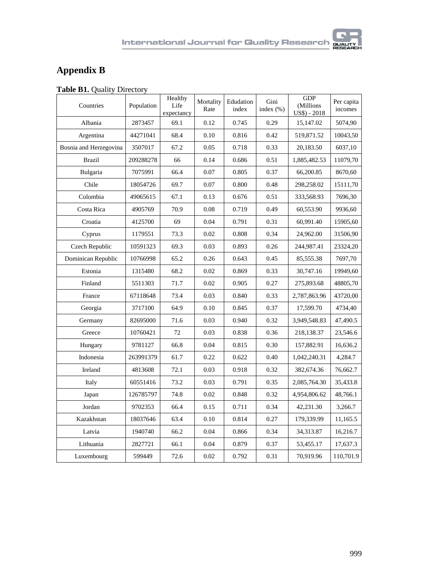## **Appendix B**

| Table B1. Quality Directory |  |
|-----------------------------|--|
|-----------------------------|--|

| Countries              | Population | Healthy<br>Life<br>expectancy | Mortality<br>Rate | Edudation<br>index | Gini<br>index $(\% )$ | <b>GDP</b><br>(Millions<br>$US$$ ) - 2018 | Per capita<br>incomes |
|------------------------|------------|-------------------------------|-------------------|--------------------|-----------------------|-------------------------------------------|-----------------------|
| Albania                | 2873457    | 69.1                          | 0.12              | 0.745              | 0.29                  | 15,147.02                                 | 5074,90               |
| Argentina              | 44271041   | 68.4                          | 0.10              | 0.816              | 0.42                  | 519,871.52                                | 10043,50              |
| Bosnia and Herzegovina | 3507017    | 67.2                          | 0.05              | 0.718              | 0.33                  | 20,183.50                                 | 6037,10               |
| <b>Brazil</b>          | 209288278  | 66                            | 0.14              | 0.686              | 0.51                  | 1,885,482.53                              | 11079,70              |
| Bulgaria               | 7075991    | 66.4                          | 0.07              | 0.805              | 0.37                  | 66,200.85                                 | 8670,60               |
| Chile                  | 18054726   | 69.7                          | 0.07              | 0.800              | 0.48                  | 298,258.02                                | 15111,70              |
| Colombia               | 49065615   | 67.1                          | 0.13              | 0.676              | 0.51                  | 333,568.93                                | 7696,30               |
| Costa Rica             | 4905769    | 70.9                          | 0.08              | 0.719              | 0.49                  | 60,553.90                                 | 9936,60               |
| Croatia                | 4125700    | 69                            | 0.04              | 0.791              | 0.31                  | 60,991.40                                 | 15905,60              |
| Cyprus                 | 1179551    | 73.3                          | 0.02              | 0.808              | 0.34                  | 24,962.00                                 | 31506,90              |
| Czech Republic         | 10591323   | 69.3                          | 0.03              | 0.893              | 0.26                  | 244,987.41                                | 23324,20              |
| Dominican Republic     | 10766998   | 65.2                          | 0.26              | 0.643              | 0.45                  | 85,555.38                                 | 7697,70               |
| Estonia                | 1315480    | 68.2                          | 0.02              | 0.869              | 0.33                  | 30,747.16                                 | 19949,60              |
| Finland                | 5511303    | 71.7                          | 0.02              | 0.905              | 0.27                  | 275,893.68                                | 48805,70              |
| France                 | 67118648   | 73.4                          | 0.03              | 0.840              | 0.33                  | 2,787,863.96                              | 43720,00              |
| Georgia                | 3717100    | 64.9                          | 0.10              | 0.845              | 0.37                  | 17,599.70                                 | 4734,40               |
| Germany                | 82695000   | 71.6                          | 0.03              | 0.940              | 0.32                  | 3,949,548.83                              | 47,490.5              |
| Greece                 | 10760421   | 72                            | 0.03              | 0.838              | 0.36                  | 218,138.37                                | 23,546.6              |
| Hungary                | 9781127    | 66.8                          | 0.04              | 0.815              | 0.30                  | 157,882.91                                | 16,636.2              |
| Indonesia              | 263991379  | 61.7                          | 0.22              | 0.622              | 0.40                  | 1,042,240.31                              | 4,284.7               |
| Ireland                | 4813608    | 72.1                          | 0.03              | 0.918              | 0.32                  | 382,674.36                                | 76,662.7              |
| Italy                  | 60551416   | 73.2                          | 0.03              | 0.791              | 0.35                  | 2,085,764.30                              | 35,433.8              |
| Japan                  | 126785797  | 74.8                          | 0.02              | 0.848              | 0.32                  | 4,954,806.62                              | 48,766.1              |
| Jordan                 | 9702353    | 66.4                          | 0.15              | 0.711              | 0.34                  | 42,231.30                                 | 3,266.7               |
| Kazakhstan             | 18037646   | 63.4                          | 0.10              | 0.814              | 0.27                  | 179,339.99                                | 11,165.5              |
| Latvia                 | 1940740    | 66.2                          | 0.04              | 0.866              | 0.34                  | 34,313.87                                 | 16,216.7              |
| Lithuania              | 2827721    | 66.1                          | 0.04              | 0.879              | 0.37                  | 53,455.17                                 | 17,637.3              |
| Luxembourg             | 599449     | 72.6                          | 0.02              | 0.792              | 0.31                  | 70,919.96                                 | 110,701.9             |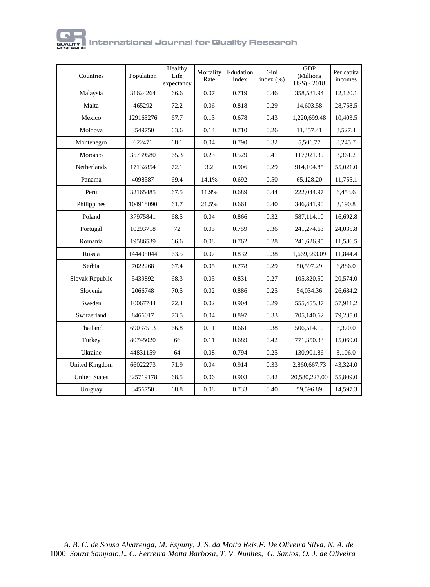

| Countries            | Population | Healthy<br>Life<br>expectancy | Mortality<br>Rate | Edudation<br>index | Gini<br>index $(\% )$ | <b>GDP</b><br>(Millions<br>$US$) - 2018$ | Per capita<br>incomes |
|----------------------|------------|-------------------------------|-------------------|--------------------|-----------------------|------------------------------------------|-----------------------|
| Malaysia             | 31624264   | 66.6                          | 0.07              | 0.719              | 0.46                  | 358,581.94                               | 12,120.1              |
| Malta                | 465292     | 72.2                          | 0.06              | 0.818              | 0.29                  | 14,603.58                                | 28,758.5              |
| Mexico               | 129163276  | 67.7                          | 0.13              | 0.678              | 0.43                  | 1,220,699.48                             | 10,403.5              |
| Moldova              | 3549750    | 63.6                          | 0.14              | 0.710              | 0.26                  | 11,457.41                                | 3,527.4               |
| Montenegro           | 622471     | 68.1                          | 0.04              | 0.790              | 0.32                  | 5,506.77                                 | 8,245.7               |
| Morocco              | 35739580   | 65.3                          | 0.23              | 0.529              | 0.41                  | 117,921.39                               | 3,361.2               |
| <b>Netherlands</b>   | 17132854   | 72.1                          | 3.2               | 0.906              | 0.29                  | 914, 104.85                              | 55,021.0              |
| Panama               | 4098587    | 69.4                          | 14.1%             | 0.692              | 0.50                  | 65.128.20                                | 11,755.1              |
| Peru                 | 32165485   | 67.5                          | 11.9%             | 0.689              | 0.44                  | 222,044.97                               | 6,453.6               |
| Philippines          | 104918090  | 61.7                          | 21.5%             | 0.661              | 0.40                  | 346,841.90                               | 3,190.8               |
| Poland               | 37975841   | 68.5                          | 0.04              | 0.866              | 0.32                  | 587,114.10                               | 16,692.8              |
| Portugal             | 10293718   | 72                            | 0.03              | 0.759              | 0.36                  | 241,274.63                               | 24,035.8              |
| Romania              | 19586539   | 66.6                          | 0.08              | 0.762              | 0.28                  | 241,626.95                               | 11,586.5              |
| Russia               | 144495044  | 63.5                          | 0.07              | 0.832              | 0.38                  | 1,669,583.09                             | 11,844.4              |
| Serbia               | 7022268    | 67.4                          | 0.05              | 0.778              | 0.29                  | 50,597.29                                | 6,886.0               |
| Slovak Republic      | 5439892    | 68.3                          | 0.05              | 0.831              | 0.27                  | 105,820.50                               | 20,574.0              |
| Slovenia             | 2066748    | 70.5                          | 0.02              | 0.886              | 0.25                  | 54,034.36                                | 26,684.2              |
| Sweden               | 10067744   | 72.4                          | 0.02              | 0.904              | 0.29                  | 555,455.37                               | 57,911.2              |
| Switzerland          | 8466017    | 73.5                          | 0.04              | 0.897              | 0.33                  | 705,140.62                               | 79,235.0              |
| Thailand             | 69037513   | 66.8                          | 0.11              | 0.661              | 0.38                  | 506,514.10                               | 6,370.0               |
| Turkey               | 80745020   | 66                            | 0.11              | 0.689              | 0.42                  | 771,350.33                               | 15,069.0              |
| Ukraine              | 44831159   | 64                            | 0.08              | 0.794              | 0.25                  | 130,901.86                               | 3,106.0               |
| United Kingdom       | 66022273   | 71.9                          | 0.04              | 0.914              | 0.33                  | 2,860,667.73                             | 43,324.0              |
| <b>United States</b> | 325719178  | 68.5                          | 0.06              | 0.903              | 0.42                  | 20,580,223.00                            | 55,809.0              |
| Uruguay              | 3456750    | 68.8                          | 0.08              | 0.733              | 0.40                  | 59,596.89                                | 14,597.3              |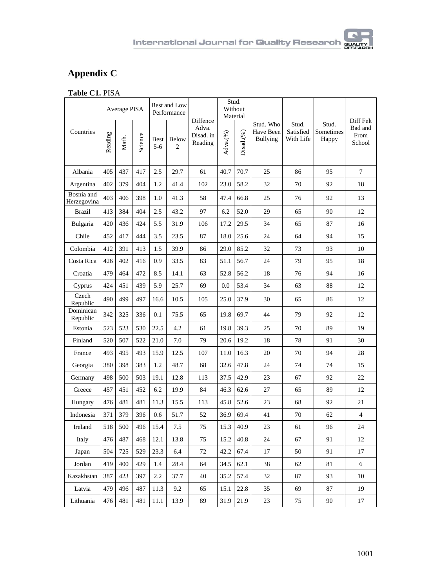# BHAL

## **Appendix C**

| <b>Table C1. PISA</b> |  |
|-----------------------|--|
|-----------------------|--|

|                           | Average PISA |       |         | Best and Low<br>Performance |                         | Diffence                      | Stud.<br>Without<br>Material |           |                                           |                                 |                             | Diff Felt                 |
|---------------------------|--------------|-------|---------|-----------------------------|-------------------------|-------------------------------|------------------------------|-----------|-------------------------------------------|---------------------------------|-----------------------------|---------------------------|
| Countries                 | Reading      | Math. | Science | Best<br>$5 - 6$             | Below<br>$\overline{2}$ | Adva.<br>Disad. in<br>Reading | Adva.(%)                     | Disad.(%) | Stud. Who<br>Have Been<br><b>Bullying</b> | Stud.<br>Satisfied<br>With Life | Stud.<br>Sometimes<br>Happy | Bad and<br>From<br>School |
| Albania                   | 405          | 437   | 417     | 2.5                         | 29.7                    | 61                            | 40.7                         | 70.7      | 25                                        | 86                              | 95                          | $\overline{7}$            |
| Argentina                 | 402          | 379   | 404     | 1.2                         | 41.4                    | 102                           | 23.0                         | 58.2      | 32                                        | 70                              | 92                          | 18                        |
| Bosnia and<br>Herzegovina | 403          | 406   | 398     | 1.0                         | 41.3                    | 58                            | 47.4                         | 66.8      | 25                                        | 76                              | 92                          | 13                        |
| <b>Brazil</b>             | 413          | 384   | 404     | 2.5                         | 43.2                    | 97                            | 6.2                          | 52.0      | 29                                        | 65                              | 90                          | 12                        |
| Bulgaria                  | 420          | 436   | 424     | 5.5                         | 31.9                    | 106                           | 17.2                         | 29.5      | 34                                        | 65                              | 87                          | 16                        |
| Chile                     | 452          | 417   | 444     | 3.5                         | 23.5                    | 87                            | 18.0                         | 25.6      | 24                                        | 64                              | 94                          | 15                        |
| Colombia                  | 412          | 391   | 413     | 1.5                         | 39.9                    | 86                            | 29.0                         | 85.2      | 32                                        | 73                              | 93                          | 10                        |
| Costa Rica                | 426          | 402   | 416     | 0.9                         | 33.5                    | 83                            | 51.1                         | 56.7      | 24                                        | 79                              | 95                          | 18                        |
| Croatia                   | 479          | 464   | 472     | 8.5                         | 14.1                    | 63                            | 52.8                         | 56.2      | 18                                        | 76                              | 94                          | 16                        |
| Cyprus                    | 424          | 451   | 439     | 5.9                         | 25.7                    | 69                            | 0.0                          | 53.4      | 34                                        | 63                              | 88                          | 12                        |
| Czech<br>Republic         | 490          | 499   | 497     | 16.6                        | 10.5                    | 105                           | 25.0                         | 37.9      | 30                                        | 65                              | 86                          | 12                        |
| Dominican<br>Republic     | 342          | 325   | 336     | 0.1                         | 75.5                    | 65                            | 19.8                         | 69.7      | 44                                        | 79                              | 92                          | 12                        |
| Estonia                   | 523          | 523   | 530     | 22.5                        | 4.2                     | 61                            | 19.8                         | 39.3      | 25                                        | 70                              | 89                          | 19                        |
| Finland                   | 520          | 507   | 522     | 21.0                        | 7.0                     | 79                            | 20.6                         | 19.2      | 18                                        | 78                              | 91                          | 30                        |
| France                    | 493          | 495   | 493     | 15.9                        | 12.5                    | 107                           | 11.0                         | 16.3      | 20                                        | 70                              | 94                          | 28                        |
| Georgia                   | 380          | 398   | 383     | 1.2                         | 48.7                    | 68                            | 32.6                         | 47.8      | 24                                        | 74                              | 74                          | 15                        |
| Germany                   | 498          | 500   | 503     | 19.1                        | 12.8                    | 113                           | 37.5                         | 42.9      | 23                                        | 67                              | 92                          | 22                        |
| Greece                    | 457          | 451   | 452     | 6.2                         | 19.9                    | 84                            | 46.3                         | 62.6      | 27                                        | 65                              | 89                          | 12                        |
| Hungary                   | 476          | 481   | 481     | 11.3                        | 15.5                    | 113                           | 45.8                         | 52.6      | 23                                        | 68                              | 92                          | 21                        |
| Indonesia                 | 371          | 379   | 396     | 0.6                         | 51.7                    | 52                            | 36.9                         | 69.4      | 41                                        | 70                              | 62                          | $\overline{4}$            |
| Ireland                   | 518          | 500   | 496     | 15.4                        | 7.5                     | 75                            | 15.3                         | 40.9      | 23                                        | 61                              | 96                          | 24                        |
| Italy                     | 476          | 487   | 468     | 12.1                        | 13.8                    | 75                            | 15.2                         | 40.8      | 24                                        | 67                              | 91                          | 12                        |
| Japan                     | 504          | 725   | 529     | 23.3                        | 6.4                     | 72                            | 42.2                         | 67.4      | 17                                        | 50                              | 91                          | 17                        |
| Jordan                    | 419          | 400   | 429     | 1.4                         | 28.4                    | 64                            | 34.5                         | 62.1      | 38                                        | 62                              | 81                          | 6                         |
| Kazakhstan                | 387          | 423   | 397     | 2.2                         | 37.7                    | 40                            | 35.2                         | 57.4      | 32                                        | 87                              | 93                          | 10                        |
| Latvia                    | 479          | 496   | 487     | 11.3                        | 9.2                     | 65                            | 15.1                         | 22.8      | 35                                        | 69                              | 87                          | 19                        |
| Lithuania                 | 476          | 481   | 481     | 11.1                        | 13.9                    | 89                            | 31.9                         | 21.9      | 23                                        | 75                              | 90                          | 17                        |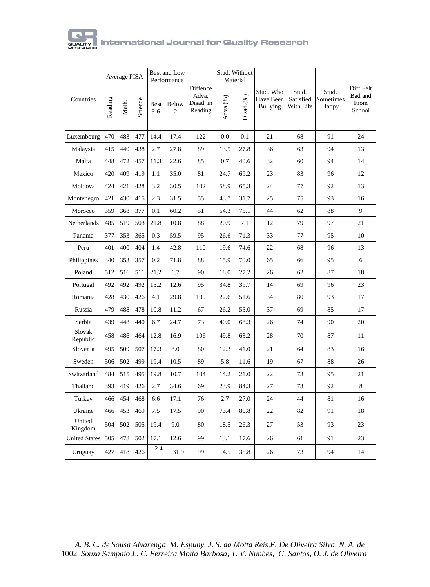

|                      | Average PISA |       |         | Best and Low<br>Performance |            |                                           | Stud. Without<br>Material |              |                                           |                                 |                             |                                        |
|----------------------|--------------|-------|---------|-----------------------------|------------|-------------------------------------------|---------------------------|--------------|-------------------------------------------|---------------------------------|-----------------------------|----------------------------------------|
| Countries            | Reading      | Math. | Science | <b>Best</b><br>$5 - 6$      | Below<br>2 | Diffence<br>Adva.<br>Disad. in<br>Reading | Adva.(%)                  | $Disad.$ $%$ | Stud. Who<br>Have Been<br><b>Bullying</b> | Stud.<br>Satisfied<br>With Life | Stud.<br>Sometimes<br>Happy | Diff Felt<br>Bad and<br>From<br>School |
| Luxembourg           | 470          | 483   | 477     | 14.4                        | 17.4       | 122                                       | 0.0                       | 0.1          | 21                                        | 68                              | 91                          | 24                                     |
| Malaysia             | 415          | 440   | 438     | 2.7                         | 27.8       | 89                                        | 13.5                      | 27.8         | 36                                        | 63                              | 94                          | 13                                     |
| Malta                | 448          | 472   | 457     | 11.3                        | 22.6       | 85                                        | 0.7                       | 40.6         | 32                                        | 60                              | 94                          | 14                                     |
| Mexico               | 420          | 409   | 419     | 1.1                         | 35.0       | 81                                        | 24.7                      | 69.2         | 23                                        | 83                              | 96                          | 12                                     |
| Moldova              | 424          | 421   | 428     | 3.2                         | 30.5       | 102                                       | 58.9                      | 65.3         | 24                                        | 77                              | 92                          | 13                                     |
| Montenegro           | 421          | 430   | 415     | 2.3                         | 31.5       | 55                                        | 43.7                      | 31.7         | 25                                        | 75                              | 93                          | 16                                     |
| Morocco              | 359          | 368   | 377     | 0.1                         | 60.2       | 51                                        | 54.3                      | 75.1         | 44                                        | 62                              | 88                          | 9                                      |
| Netherlands          | 485          | 519   | 503     | 21.8                        | 10.8       | 88                                        | 20.9                      | 7.1          | 12                                        | 79                              | 97                          | 21                                     |
| Panama               | 377          | 353   | 365     | 0.3                         | 59.5       | 95                                        | 26.6                      | 71.3         | 33                                        | 77                              | 95                          | 10                                     |
| Peru                 | 401          | 400   | 404     | 1.4                         | 42.8       | 110                                       | 19.6                      | 74.6         | 22                                        | 68                              | 96                          | 13                                     |
| Philippines          | 340          | 353   | 357     | 0.2                         | 71.8       | 88                                        | 15.9                      | 70.0         | 65                                        | 66                              | 95                          | 6                                      |
| Poland               | 512          | 516   | 511     | 21.2                        | 6.7        | 90                                        | 18.0                      | 27.2         | 26                                        | 62                              | 87                          | 18                                     |
| Portugal             | 492          | 492   | 492     | 15.2                        | 12.6       | 95                                        | 34.8                      | 39.7         | 14                                        | 69                              | 96                          | 23                                     |
| Romania              | 428          | 430   | 426     | 4.1                         | 29.8       | 109                                       | 22.6                      | 51.6         | 34                                        | 80                              | 93                          | 17                                     |
| Russia               | 479          | 488   | 478     | 10.8                        | 11.2       | 67                                        | 26.2                      | 55.0         | 37                                        | 69                              | 85                          | 17                                     |
| Serbia               | 439          | 448   | 440     | 6.7                         | 24.7       | 73                                        | 40.0                      | 68.3         | 26                                        | 74                              | 90                          | 20                                     |
| Slovak<br>Republic   | 458          | 486   | 464     | 12.8                        | 16.9       | 106                                       | 49.8                      | 63.2         | 28                                        | 70                              | 87                          | 11                                     |
| Slovenia             | 495          | 509   | 507     | 17.3                        | 8.0        | 80                                        | 12.3                      | 41.0         | 21                                        | 64                              | 83                          | 16                                     |
| Sweden               | 506          | 502   | 499     | 19.4                        | 10.5       | 89                                        | 5.8                       | 11.6         | 19                                        | 67                              | 88                          | 26                                     |
| Switzerland          | 484          | 515   | 495     | 19.8                        | 10.7       | 104                                       | 14.2                      | 21.0         | 22                                        | 73                              | 95                          | 21                                     |
| Thailand             | 393          | 419   | 426     | 2.7                         | 34.6       | 69                                        | 23.9                      | 84.3         | 27                                        | 73                              | 92                          | 8                                      |
| Turkey               | 466          | 454   | 468     | 6.6                         | 17.1       | 76                                        | 2.7                       | 27.0         | 24                                        | 44                              | 81                          | 16                                     |
| Ukraine              | 466          | 453   | 469     | 7.5                         | 17.5       | 90                                        | 73.4                      | 80.8         | 22                                        | 82                              | 91                          | 18                                     |
| United<br>Kingdom    | 504          | 502   | 505     | 19.4                        | 9.0        | 80                                        | 18.5                      | 26.3         | 27                                        | 53                              | 93                          | 23                                     |
| <b>United States</b> | 505          | 478   | 502     | 17.1                        | 12.6       | 99                                        | 13.1                      | 17.6         | 26                                        | 61                              | 91                          | 23                                     |
| Uruguay              | 427          | 418   | 426     | 2.4                         | 31.9       | 99                                        | 14.5                      | 35.8         | 26                                        | 73                              | 94                          | 14                                     |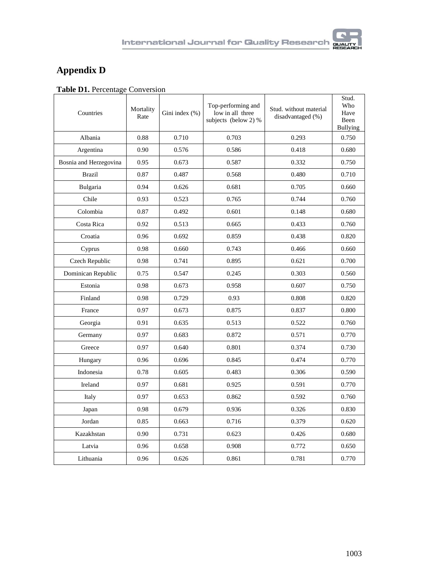## **Appendix D**

|  | Table D1. Percentage Conversion |
|--|---------------------------------|
|  |                                 |

| Countries              | Mortality<br>Rate | Gini index (%) | Top-performing and<br>low in all three<br>subjects (below 2) % | Stud. without material<br>disadvantaged (%) | Stud.<br>Who<br>Have<br>Been<br><b>Bullying</b> |
|------------------------|-------------------|----------------|----------------------------------------------------------------|---------------------------------------------|-------------------------------------------------|
| Albania                | 0.88              | 0.710          | 0.703                                                          | 0.293                                       | 0.750                                           |
| Argentina              | 0.90              | 0.576          | 0.586                                                          | 0.418                                       | 0.680                                           |
| Bosnia and Herzegovina | 0.95              | 0.673          | 0.587                                                          | 0.332                                       | 0.750                                           |
| <b>Brazil</b>          | 0.87              | 0.487          | 0.568                                                          | 0.480                                       | 0.710                                           |
| Bulgaria               | 0.94              | 0.626          | 0.681                                                          | 0.705                                       | 0.660                                           |
| Chile                  | 0.93              | 0.523          | 0.765                                                          | 0.744                                       | 0.760                                           |
| Colombia               | 0.87              | 0.492          | 0.601                                                          | 0.148                                       | 0.680                                           |
| Costa Rica             | 0.92              | 0.513          | 0.665                                                          | 0.433                                       | 0.760                                           |
| Croatia                | 0.96              | 0.692          | 0.859                                                          | 0.438                                       | 0.820                                           |
| Cyprus                 | 0.98              | 0.660          | 0.743                                                          | 0.466                                       | 0.660                                           |
| Czech Republic         | 0.98              | 0.741          | 0.895                                                          | 0.621                                       | 0.700                                           |
| Dominican Republic     | 0.75              | 0.547          | 0.245                                                          | 0.303                                       | 0.560                                           |
| Estonia                | 0.98              | 0.673          | 0.958                                                          | 0.607                                       | 0.750                                           |
| Finland                | 0.98              | 0.729          | 0.93                                                           | 0.808                                       | 0.820                                           |
| France                 | 0.97              | 0.673          | 0.875                                                          | 0.837                                       | 0.800                                           |
| Georgia                | 0.91              | 0.635          | 0.513                                                          | 0.522                                       | 0.760                                           |
| Germany                | 0.97              | 0.683          | 0.872                                                          | 0.571                                       | 0.770                                           |
| Greece                 | 0.97              | 0.640          | 0.801                                                          | 0.374                                       | 0.730                                           |
| Hungary                | 0.96              | 0.696          | 0.845                                                          | 0.474                                       | 0.770                                           |
| Indonesia              | 0.78              | 0.605          | 0.483                                                          | 0.306                                       | 0.590                                           |
| Ireland                | 0.97              | 0.681          | 0.925                                                          | 0.591                                       | 0.770                                           |
| Italy                  | 0.97              | 0.653          | 0.862                                                          | 0.592                                       | 0.760                                           |
| Japan                  | 0.98              | 0.679          | 0.936                                                          | 0.326                                       | 0.830                                           |
| Jordan                 | 0.85              | 0.663          | 0.716                                                          | 0.379                                       | 0.620                                           |
| Kazakhstan             | 0.90              | 0.731          | 0.623                                                          | 0.426                                       | 0.680                                           |
| Latvia                 | 0.96              | 0.658          | 0.908                                                          | 0.772                                       | 0.650                                           |
| Lithuania              | 0.96              | 0.626          | 0.861                                                          | 0.781                                       | 0.770                                           |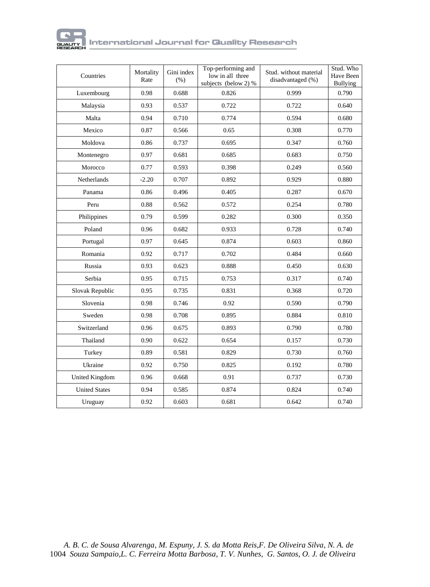

| Countries            | Mortality<br>Rate | Gini index<br>(% ) | Top-performing and<br>low in all three<br>subjects (below 2) % | Stud, without material<br>disadvantaged (%) | Stud. Who<br>Have Been<br>Bullying |  |
|----------------------|-------------------|--------------------|----------------------------------------------------------------|---------------------------------------------|------------------------------------|--|
| Luxembourg           | 0.98              | 0.688              | 0.826                                                          | 0.999                                       | 0.790                              |  |
| Malaysia             | 0.93              | 0.537              | 0.722                                                          | 0.722                                       | 0.640                              |  |
| Malta                | 0.94              | 0.710              | 0.774                                                          | 0.594                                       | 0.680                              |  |
| Mexico               | 0.87              | 0.566              | 0.65                                                           | 0.308                                       | 0.770                              |  |
| Moldova              | 0.86              | 0.737              | 0.695                                                          | 0.347                                       | 0.760                              |  |
| Montenegro           | 0.97              | 0.681              | 0.685                                                          | 0.683                                       | 0.750                              |  |
| Morocco              | 0.77              | 0.593              | 0.398                                                          | 0.249                                       | 0.560                              |  |
| <b>Netherlands</b>   | $-2.20$           | 0.707              | 0.892                                                          | 0.929                                       | 0.880                              |  |
| Panama               | 0.86              | 0.496              | 0.405                                                          | 0.287                                       | 0.670                              |  |
| Peru                 | 0.88              | 0.562              | 0.572                                                          | 0.254                                       | 0.780                              |  |
| Philippines          | 0.79              | 0.599              | 0.282                                                          | 0.300                                       | 0.350                              |  |
| Poland               | 0.96              | 0.682              | 0.933                                                          | 0.728                                       | 0.740                              |  |
| Portugal             | 0.97              | 0.645              | 0.874                                                          | 0.603                                       | 0.860                              |  |
| Romania              | 0.92              | 0.717              | 0.702                                                          | 0.484                                       | 0.660                              |  |
| Russia               | 0.93              | 0.623              | 0.888                                                          | 0.450                                       | 0.630                              |  |
| Serbia               | 0.95              | 0.715              | 0.753                                                          | 0.317                                       | 0.740                              |  |
| Slovak Republic      | 0.95              | 0.735              | 0.831                                                          | 0.368                                       | 0.720                              |  |
| Slovenia             | 0.98              | 0.746              | 0.92                                                           | 0.590                                       | 0.790                              |  |
| Sweden               | 0.98              | 0.708              | 0.895                                                          | 0.884                                       | 0.810                              |  |
| Switzerland          | 0.96              | 0.675              | 0.893                                                          | 0.790                                       | 0.780                              |  |
| Thailand             | 0.90              | 0.622              | 0.654                                                          | 0.157                                       | 0.730                              |  |
| Turkey               | 0.89              | 0.581              | 0.829                                                          | 0.730                                       | 0.760                              |  |
| Ukraine              | 0.92              | 0.750              | 0.825                                                          | 0.192                                       | 0.780                              |  |
| United Kingdom       | 0.96              | 0.668              | 0.91                                                           | 0.737                                       | 0.730                              |  |
| <b>United States</b> | 0.94              | 0.585              | 0.874                                                          | 0.824                                       | 0.740                              |  |
| Uruguay              | 0.92              | 0.603              | 0.681                                                          | 0.642                                       | 0.740                              |  |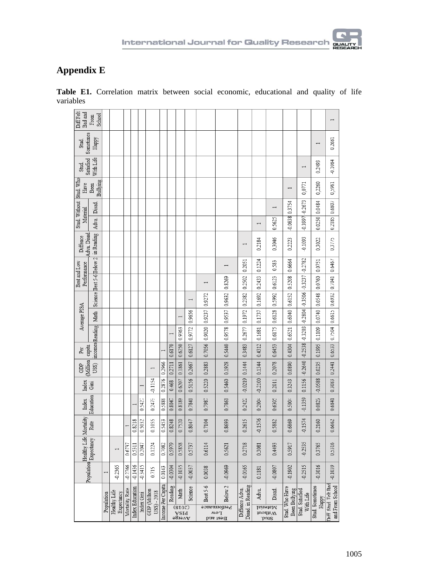

### **Appendix E**

|                               |                          |            |                            |                |                        |            |                                     |                   | $\begin{array}{c}\n\sqrt{8107} \\ \hline\n\end{array}$ WSId<br>as is not |                      | Performance<br>Now<br>Best and |                      |                                    | but2<br>Waterial<br><u>IsrahaM</u>                                       |                                       |                                                  |                                       |                                                                       |                                    |                                                         |
|-------------------------------|--------------------------|------------|----------------------------|----------------|------------------------|------------|-------------------------------------|-------------------|--------------------------------------------------------------------------|----------------------|--------------------------------|----------------------|------------------------------------|--------------------------------------------------------------------------|---------------------------------------|--------------------------------------------------|---------------------------------------|-----------------------------------------------------------------------|------------------------------------|---------------------------------------------------------|
|                               |                          | Population | Healthy Life<br>Expectancy | Mortality Rate | <b>Index Education</b> | Index Gini | <b>GDP</b> (Million<br>US\$) - 2018 | Income Per Capita | Reading                                                                  | Math                 | Science                        | Best 5-6             | Below 2                            | Disad. in Reading<br>Diffence Adva.                                      | Adva.                                 | Disad.                                           | Stud Who Have<br><b>Been Bullying</b> | Stud. Satisfied<br>With Life                                          | Stud, Sometimes<br>Happy           | Diff. Stud. Felt Bad<br>and From School                 |
|                               |                          |            | $-0.2365$                  | $-0.2766$      | $-0.1436$              | -0.3415    | 0.715                               | 0.0143            | $-0.0304$                                                                | $-0.1035$            | $-0.0037$                      | 0.0038               | $-0.0969$                          | $-0.0165$                                                                | 0.1181                                | $-0.0807$                                        | $-0.1902$                             | $-0.2515$                                                             | $-0.3016$                          | $-0.1039$                                               |
| Healthy Life Mortality        | Population Expectancy    |            |                            | 0.6737         | 0.5311                 | 0.2047     | 0.1224                              | 0.7082            | 0.5979                                                                   | 0.5858               | 0.5737                         | 0.6114               | 0.5621                             | 0.2718                                                                   | 0.3081                                | 0.4493                                           | 0.5917                                | $-0.2535$                                                             | 0.3765                             | 0.5316                                                  |
|                               | Rate                     |            |                            |                | 0.8218                 | 0.5032     | 0.1055                              | 0.5453            | 0.8248                                                                   | 0.7520               | 0.8047                         | 0.7104               | 0.8693                             | 0.2615                                                                   | $-0.1576$                             | 0.5882                                           | 0.6869                                | $-0.1574$                                                             | 0.2160                             | 0.6662                                                  |
| Index                         | Education                |            |                            |                |                        | 0.5427     | 0.2473                              | 0.5888            | 0.8047                                                                   | 0.8189               | 0.7841                         | 0.7987               | 0.7861                             | 0.2422                                                                   | 0.2004                                | 0.6305                                           | 0.5004                                | $-0.1359$                                                             | 0.0823                             | 0.6841                                                  |
| Index                         | Gm                       |            |                            |                |                        |            | $-0.1154$                           | 0.2876            | 0.468                                                                    | 0.6207               | 0.5156                         | 0.5220               | 0.5460                             |                                                                          |                                       |                                                  | 0.3243                                | 0.1156                                                                |                                    |                                                         |
| Million capita<br><b>GDP</b>  | US\$)                    |            |                            |                |                        |            |                                     | 0.2966            | 0.2711 0.6170                                                            |                      | 0.2667                         | 0.2883               | 0.1928                             | $-0.0219$ $0.1444$ $0.3483$ $0.2677$ $0.1972$ $0.2382$ $0.2502$ $0.2051$ | $-0.2100$ 0.1344 0.4312 0.1681 0.1737 | 0.2011 0.2078 0.6453 0.6175 0.6128 0.5992 0.6123 | 0.0890                                |                                                                       | $-0.0588$ 0.0235 0.1995            | 0.3083 0.2441 0.6533 0.7504 0.6615 0.6932 0.7041 0.6467 |
| Per                           |                          |            |                            |                |                        |            |                                     |                   |                                                                          | 0.1861 0.6250 0.9363 | 0.6127                         |                      |                                    |                                                                          |                                       |                                                  |                                       |                                                                       |                                    |                                                         |
|                               | incomes Reading          |            |                            |                |                        |            |                                     |                   |                                                                          |                      | 0.9772                         | 0.7056 0.9020 0.9237 | 0.5440 0.9578 0.9537 0.9632 0.8269 |                                                                          |                                       |                                                  | 0.4304 0.6521 0.6040 0.6152           | $-0.2640$ $-0.2538$ $-0.3203$ $-0.2804$ $-0.3506$ $-0.3237$ $-0.2782$ |                                    |                                                         |
| Average PISA                  | Math                     |            |                            |                |                        |            |                                     |                   |                                                                          | $\overline{ }$       | 0.9656                         |                      |                                    |                                                                          |                                       |                                                  |                                       |                                                                       | 0.1109 0.0740 0.0548 0.0760 0.0751 |                                                         |
|                               | Science Best 5-6 Below 2 |            |                            |                |                        |            |                                     |                   |                                                                          |                      | $\overline{ }$                 | 0.9272               |                                    |                                                                          | 0.1692                                |                                                  |                                       |                                                                       |                                    |                                                         |
| Best and Low<br>Performance   |                          |            |                            |                |                        |            |                                     |                   |                                                                          |                      |                                |                      |                                    |                                                                          | 0.2433                                |                                                  | 0.5208                                |                                                                       |                                    |                                                         |
|                               |                          |            |                            |                |                        |            |                                     |                   |                                                                          |                      |                                |                      |                                    |                                                                          | 0.1224                                | 0.583                                            | 0.6664                                |                                                                       |                                    |                                                         |
| Adva Disad<br>Diffence        | in Reading               |            |                            |                |                        |            |                                     |                   |                                                                          |                      |                                |                      |                                    | -                                                                        | 0.2184                                | 0.3046                                           | 0.2223                                | $-0.1093$                                                             | 0.3022                             | 0.3775                                                  |
| Material                      | Adva. Disad.             |            |                            |                |                        |            |                                     |                   |                                                                          |                      |                                |                      |                                    |                                                                          | $\overline{ }$                        | 0.5625                                           | 0.0838 0.3754                         |                                                                       |                                    |                                                         |
|                               |                          |            |                            |                |                        |            |                                     |                   |                                                                          |                      |                                |                      |                                    |                                                                          |                                       |                                                  |                                       | $-0.3997 - 0.2673$                                                    | 0.0250 0.0484                      | 0.2185 0.6807                                           |
| Stud Without Stud Who<br>Have | Bullying<br>Been         |            |                            |                |                        |            |                                     |                   |                                                                          |                      |                                |                      |                                    |                                                                          |                                       |                                                  |                                       | 0,0771                                                                | 0,2260                             | 0,5961                                                  |
| Satisfied<br>Stud.            | With Life                |            |                            |                |                        |            |                                     |                   |                                                                          |                      |                                |                      |                                    |                                                                          |                                       |                                                  |                                       |                                                                       | 0.2493                             | $-0.1084$                                               |
| Sometimes<br>Stud.            | Happy                    |            |                            |                |                        |            |                                     |                   |                                                                          |                      |                                |                      |                                    |                                                                          |                                       |                                                  |                                       |                                                                       |                                    | 0.2681                                                  |
| <b>DiffFelt</b><br>Bad and    | School<br>From           |            |                            |                |                        |            |                                     |                   |                                                                          |                      |                                |                      |                                    |                                                                          |                                       |                                                  |                                       |                                                                       |                                    |                                                         |

**Table E1.** Correlation matrix between social economic, educational and quality of life variables